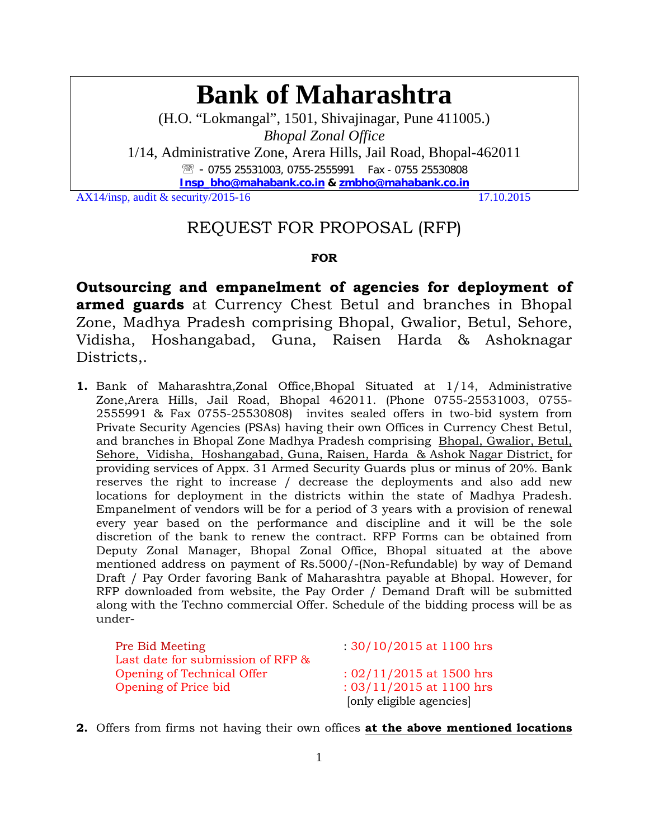# **Bank of Maharashtra**

(H.O. "Lokmangal", 1501, Shivajinagar, Pune 411005.) *Bhopal Zonal Office* 

1/14, Administrative Zone, Arera Hills, Jail Road, Bhopal-462011 **图 - 0755 25531003, 0755-2555991 Fax - 0755 25530808 Insp\_bho@mahabank.co.in & zmbho@mahabank.co.in** 

AX14/insp, audit & security/2015-16  $17.10.2015$ 

## REQUEST FOR PROPOSAL (RFP)

#### **FOR**

**Outsourcing and empanelment of agencies for deployment of armed guards** at Currency Chest Betul and branches in Bhopal Zone, Madhya Pradesh comprising Bhopal, Gwalior, Betul, Sehore, Vidisha, Hoshangabad, Guna, Raisen Harda & Ashoknagar Districts,.

**1.** Bank of Maharashtra,Zonal Office,Bhopal Situated at 1/14, Administrative Zone,Arera Hills, Jail Road, Bhopal 462011. (Phone 0755-25531003, 0755- 2555991 & Fax 0755-25530808) invites sealed offers in two-bid system from Private Security Agencies (PSAs) having their own Offices in Currency Chest Betul, and branches in Bhopal Zone Madhya Pradesh comprising Bhopal, Gwalior, Betul, Sehore, Vidisha, Hoshangabad, Guna, Raisen, Harda & Ashok Nagar District, for providing services of Appx. 31 Armed Security Guards plus or minus of 20%. Bank reserves the right to increase / decrease the deployments and also add new locations for deployment in the districts within the state of Madhya Pradesh. Empanelment of vendors will be for a period of 3 years with a provision of renewal every year based on the performance and discipline and it will be the sole discretion of the bank to renew the contract. RFP Forms can be obtained from Deputy Zonal Manager, Bhopal Zonal Office, Bhopal situated at the above mentioned address on payment of Rs.5000/-(Non-Refundable) by way of Demand Draft / Pay Order favoring Bank of Maharashtra payable at Bhopal. However, for RFP downloaded from website, the Pay Order / Demand Draft will be submitted along with the Techno commercial Offer. Schedule of the bidding process will be as under-

| Pre Bid Meeting                   | $: 30/10/2015$ at 1100 hrs |
|-----------------------------------|----------------------------|
| Last date for submission of RFP & |                            |
| Opening of Technical Offer        | $: 02/11/2015$ at 1500 hrs |
| Opening of Price bid              | : $03/11/2015$ at 1100 hrs |
|                                   | [only eligible agencies]   |

**2.** Offers from firms not having their own offices **at the above mentioned locations**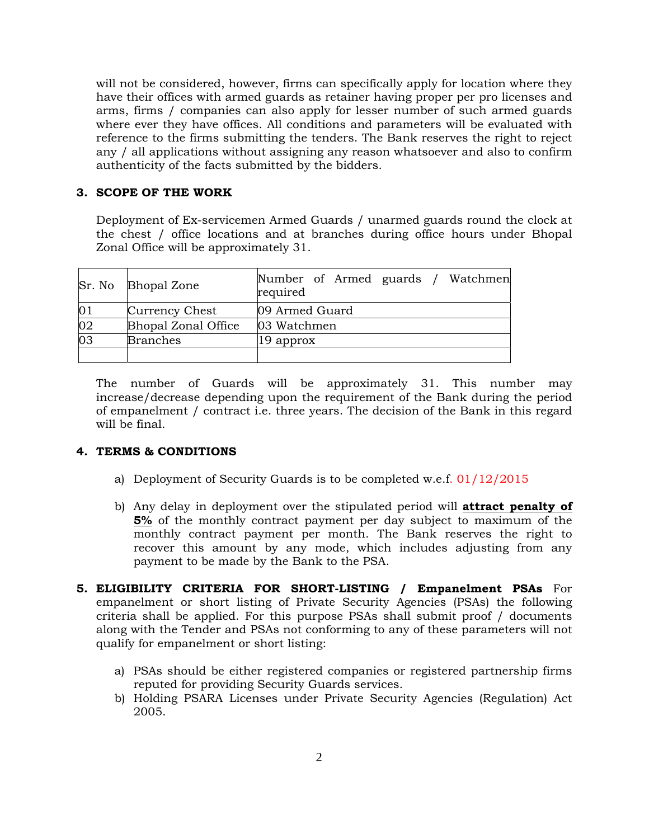will not be considered, however, firms can specifically apply for location where they have their offices with armed guards as retainer having proper per pro licenses and arms, firms / companies can also apply for lesser number of such armed guards where ever they have offices. All conditions and parameters will be evaluated with reference to the firms submitting the tenders. The Bank reserves the right to reject any / all applications without assigning any reason whatsoever and also to confirm authenticity of the facts submitted by the bidders.

#### **3. SCOPE OF THE WORK**

Deployment of Ex-servicemen Armed Guards / unarmed guards round the clock at the chest / office locations and at branches during office hours under Bhopal Zonal Office will be approximately 31.

|    | Sr. No Bhopal Zone         | Number of Armed guards / Watchmen<br>required |
|----|----------------------------|-----------------------------------------------|
| 01 | Currency Chest             | 09 Armed Guard                                |
| 02 | <b>Bhopal Zonal Office</b> | 03 Watchmen                                   |
| 03 | <b>Branches</b>            | $ 19$ approx                                  |
|    |                            |                                               |

The number of Guards will be approximately 31. This number may increase/decrease depending upon the requirement of the Bank during the period of empanelment / contract i.e. three years. The decision of the Bank in this regard will be final.

#### **4. TERMS & CONDITIONS**

- a) Deployment of Security Guards is to be completed w.e.f. 01/12/2015
- b) Any delay in deployment over the stipulated period will **attract penalty of 5%** of the monthly contract payment per day subject to maximum of the monthly contract payment per month. The Bank reserves the right to recover this amount by any mode, which includes adjusting from any payment to be made by the Bank to the PSA.
- **5. ELIGIBILITY CRITERIA FOR SHORT-LISTING / Empanelment PSAs** For empanelment or short listing of Private Security Agencies (PSAs) the following criteria shall be applied. For this purpose PSAs shall submit proof / documents along with the Tender and PSAs not conforming to any of these parameters will not qualify for empanelment or short listing:
	- a) PSAs should be either registered companies or registered partnership firms reputed for providing Security Guards services.
	- b) Holding PSARA Licenses under Private Security Agencies (Regulation) Act 2005.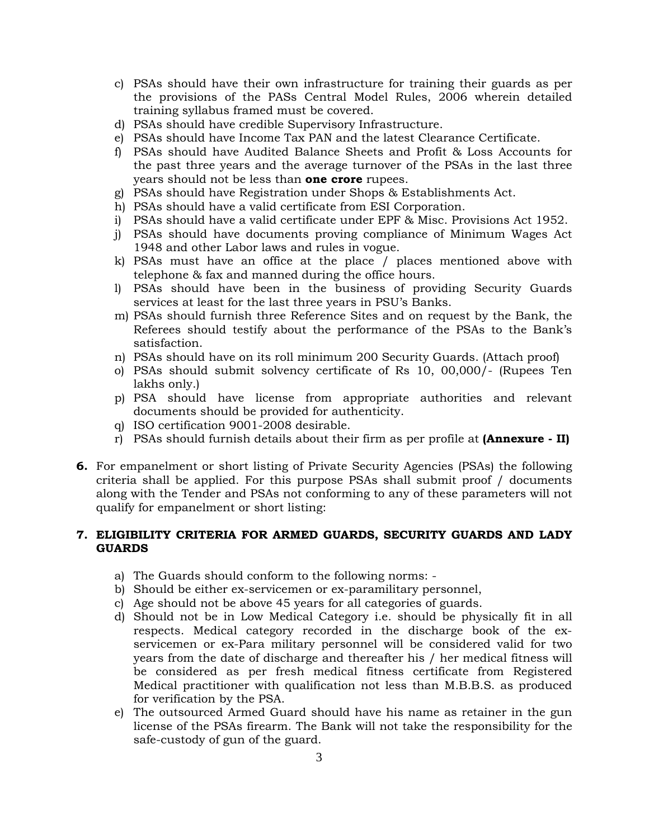- c) PSAs should have their own infrastructure for training their guards as per the provisions of the PASs Central Model Rules, 2006 wherein detailed training syllabus framed must be covered.
- d) PSAs should have credible Supervisory Infrastructure.
- e) PSAs should have Income Tax PAN and the latest Clearance Certificate.
- f) PSAs should have Audited Balance Sheets and Profit & Loss Accounts for the past three years and the average turnover of the PSAs in the last three years should not be less than **one crore** rupees.
- g) PSAs should have Registration under Shops & Establishments Act.
- h) PSAs should have a valid certificate from ESI Corporation.
- i) PSAs should have a valid certificate under EPF & Misc. Provisions Act 1952.
- j) PSAs should have documents proving compliance of Minimum Wages Act 1948 and other Labor laws and rules in vogue.
- k) PSAs must have an office at the place / places mentioned above with telephone & fax and manned during the office hours.
- l) PSAs should have been in the business of providing Security Guards services at least for the last three years in PSU's Banks.
- m) PSAs should furnish three Reference Sites and on request by the Bank, the Referees should testify about the performance of the PSAs to the Bank's satisfaction.
- n) PSAs should have on its roll minimum 200 Security Guards. (Attach proof)
- o) PSAs should submit solvency certificate of Rs 10, 00,000/- (Rupees Ten lakhs only.)
- p) PSA should have license from appropriate authorities and relevant documents should be provided for authenticity.
- q) ISO certification 9001-2008 desirable.
- r) PSAs should furnish details about their firm as per profile at **(Annexure II)**
- **6.** For empanelment or short listing of Private Security Agencies (PSAs) the following criteria shall be applied. For this purpose PSAs shall submit proof / documents along with the Tender and PSAs not conforming to any of these parameters will not qualify for empanelment or short listing:

#### **7. ELIGIBILITY CRITERIA FOR ARMED GUARDS, SECURITY GUARDS AND LADY GUARDS**

- a) The Guards should conform to the following norms: -
- b) Should be either ex-servicemen or ex-paramilitary personnel,
- c) Age should not be above 45 years for all categories of guards.
- d) Should not be in Low Medical Category i.e. should be physically fit in all respects. Medical category recorded in the discharge book of the exservicemen or ex-Para military personnel will be considered valid for two years from the date of discharge and thereafter his / her medical fitness will be considered as per fresh medical fitness certificate from Registered Medical practitioner with qualification not less than M.B.B.S. as produced for verification by the PSA.
- e) The outsourced Armed Guard should have his name as retainer in the gun license of the PSAs firearm. The Bank will not take the responsibility for the safe-custody of gun of the guard.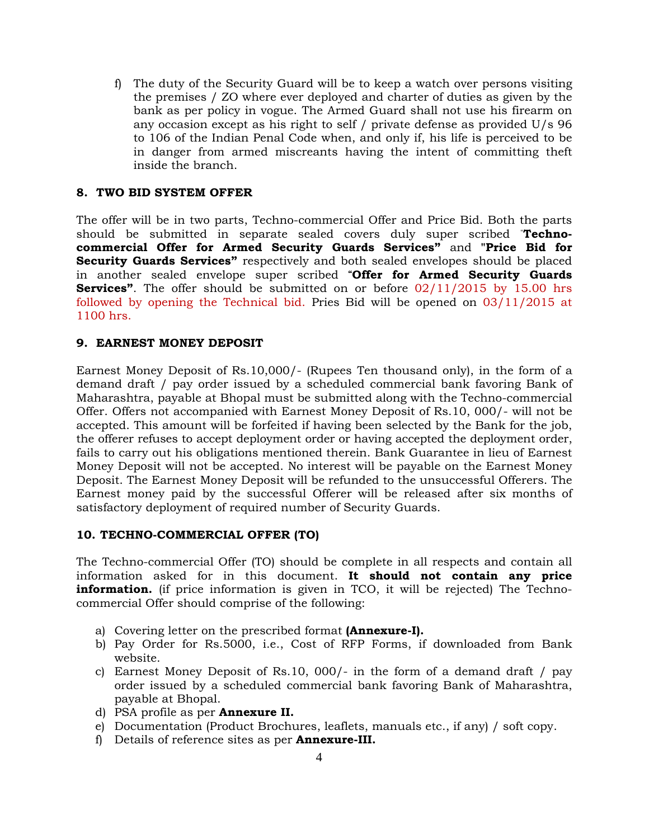f) The duty of the Security Guard will be to keep a watch over persons visiting the premises / ZO where ever deployed and charter of duties as given by the bank as per policy in vogue. The Armed Guard shall not use his firearm on any occasion except as his right to self / private defense as provided U/s 96 to 106 of the Indian Penal Code when, and only if, his life is perceived to be in danger from armed miscreants having the intent of committing theft inside the branch.

#### **8. TWO BID SYSTEM OFFER**

The offer will be in two parts, Techno-commercial Offer and Price Bid. Both the parts should be submitted in separate sealed covers duly super scribed "**Technocommercial Offer for Armed Security Guards Services"** and **"Price Bid for Security Guards Services"** respectively and both sealed envelopes should be placed in another sealed envelope super scribed **"Offer for Armed Security Guards Services"**. The offer should be submitted on or before 02/11/2015 by 15.00 hrs followed by opening the Technical bid. Pries Bid will be opened on 03/11/2015 at 1100 hrs.

#### **9. EARNEST MONEY DEPOSIT**

Earnest Money Deposit of Rs.10,000/- (Rupees Ten thousand only), in the form of a demand draft / pay order issued by a scheduled commercial bank favoring Bank of Maharashtra, payable at Bhopal must be submitted along with the Techno-commercial Offer. Offers not accompanied with Earnest Money Deposit of Rs.10, 000/- will not be accepted. This amount will be forfeited if having been selected by the Bank for the job, the offerer refuses to accept deployment order or having accepted the deployment order, fails to carry out his obligations mentioned therein. Bank Guarantee in lieu of Earnest Money Deposit will not be accepted. No interest will be payable on the Earnest Money Deposit. The Earnest Money Deposit will be refunded to the unsuccessful Offerers. The Earnest money paid by the successful Offerer will be released after six months of satisfactory deployment of required number of Security Guards.

#### **10. TECHNO-COMMERCIAL OFFER (TO)**

The Techno-commercial Offer (TO) should be complete in all respects and contain all information asked for in this document. **It should not contain any price information.** (if price information is given in TCO, it will be rejected) The Technocommercial Offer should comprise of the following:

- a) Covering letter on the prescribed format **(Annexure-I).**
- b) Pay Order for Rs.5000, i.e., Cost of RFP Forms, if downloaded from Bank website.
- c) Earnest Money Deposit of Rs.10, 000/- in the form of a demand draft / pay order issued by a scheduled commercial bank favoring Bank of Maharashtra, payable at Bhopal.
- d) PSA profile as per **Annexure II.**
- e) Documentation (Product Brochures, leaflets, manuals etc., if any) / soft copy.
- f) Details of reference sites as per **Annexure-III.**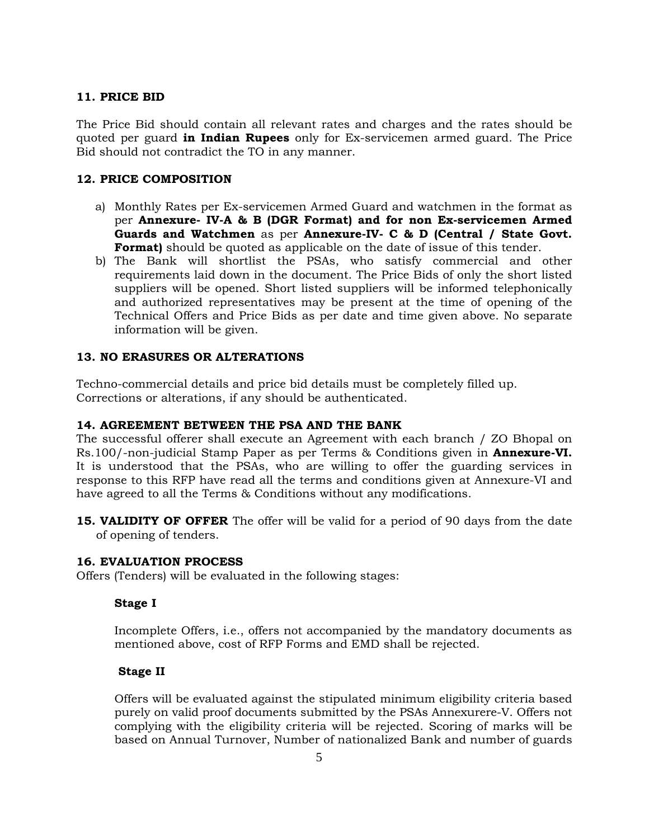#### **11. PRICE BID**

The Price Bid should contain all relevant rates and charges and the rates should be quoted per guard **in Indian Rupees** only for Ex-servicemen armed guard. The Price Bid should not contradict the TO in any manner.

#### **12. PRICE COMPOSITION**

- a) Monthly Rates per Ex-servicemen Armed Guard and watchmen in the format as per **Annexure- IV-A & B (DGR Format) and for non Ex-servicemen Armed Guards and Watchmen** as per **Annexure-IV- C & D (Central / State Govt. Format**) should be quoted as applicable on the date of issue of this tender.
- b) The Bank will shortlist the PSAs, who satisfy commercial and other requirements laid down in the document. The Price Bids of only the short listed suppliers will be opened. Short listed suppliers will be informed telephonically and authorized representatives may be present at the time of opening of the Technical Offers and Price Bids as per date and time given above. No separate information will be given.

#### **13. NO ERASURES OR ALTERATIONS**

Techno-commercial details and price bid details must be completely filled up. Corrections or alterations, if any should be authenticated.

#### **14. AGREEMENT BETWEEN THE PSA AND THE BANK**

The successful offerer shall execute an Agreement with each branch / ZO Bhopal on Rs.100/-non-judicial Stamp Paper as per Terms & Conditions given in **Annexure-VI.**  It is understood that the PSAs, who are willing to offer the guarding services in response to this RFP have read all the terms and conditions given at Annexure-VI and have agreed to all the Terms & Conditions without any modifications.

**15. VALIDITY OF OFFER** The offer will be valid for a period of 90 days from the date of opening of tenders.

#### **16. EVALUATION PROCESS**

Offers (Tenders) will be evaluated in the following stages:

#### **Stage I**

Incomplete Offers, i.e., offers not accompanied by the mandatory documents as mentioned above, cost of RFP Forms and EMD shall be rejected.

#### **Stage II**

Offers will be evaluated against the stipulated minimum eligibility criteria based purely on valid proof documents submitted by the PSAs Annexurere-V. Offers not complying with the eligibility criteria will be rejected. Scoring of marks will be based on Annual Turnover, Number of nationalized Bank and number of guards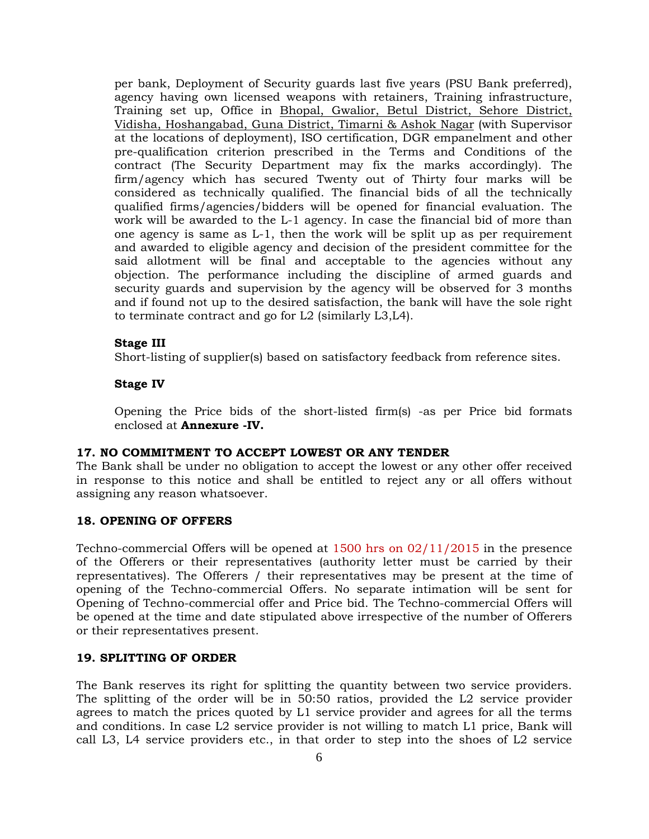per bank, Deployment of Security guards last five years (PSU Bank preferred), agency having own licensed weapons with retainers, Training infrastructure, Training set up, Office in Bhopal, Gwalior, Betul District, Sehore District, Vidisha, Hoshangabad, Guna District, Timarni & Ashok Nagar (with Supervisor at the locations of deployment), ISO certification, DGR empanelment and other pre-qualification criterion prescribed in the Terms and Conditions of the contract (The Security Department may fix the marks accordingly). The firm/agency which has secured Twenty out of Thirty four marks will be considered as technically qualified. The financial bids of all the technically qualified firms/agencies/bidders will be opened for financial evaluation. The work will be awarded to the L-1 agency. In case the financial bid of more than one agency is same as L-1, then the work will be split up as per requirement and awarded to eligible agency and decision of the president committee for the said allotment will be final and acceptable to the agencies without any objection. The performance including the discipline of armed guards and security guards and supervision by the agency will be observed for 3 months and if found not up to the desired satisfaction, the bank will have the sole right to terminate contract and go for L2 (similarly L3,L4).

#### **Stage III**

Short-listing of supplier(s) based on satisfactory feedback from reference sites.

#### **Stage IV**

Opening the Price bids of the short-listed firm(s) -as per Price bid formats enclosed at **Annexure -IV.** 

#### **17. NO COMMITMENT TO ACCEPT LOWEST OR ANY TENDER**

The Bank shall be under no obligation to accept the lowest or any other offer received in response to this notice and shall be entitled to reject any or all offers without assigning any reason whatsoever.

#### **18. OPENING OF OFFERS**

Techno-commercial Offers will be opened at 1500 hrs on 02/11/2015 in the presence of the Offerers or their representatives (authority letter must be carried by their representatives). The Offerers / their representatives may be present at the time of opening of the Techno-commercial Offers. No separate intimation will be sent for Opening of Techno-commercial offer and Price bid. The Techno-commercial Offers will be opened at the time and date stipulated above irrespective of the number of Offerers or their representatives present.

#### **19. SPLITTING OF ORDER**

The Bank reserves its right for splitting the quantity between two service providers. The splitting of the order will be in 50:50 ratios, provided the L2 service provider agrees to match the prices quoted by L1 service provider and agrees for all the terms and conditions. In case L2 service provider is not willing to match L1 price, Bank will call L3, L4 service providers etc., in that order to step into the shoes of L2 service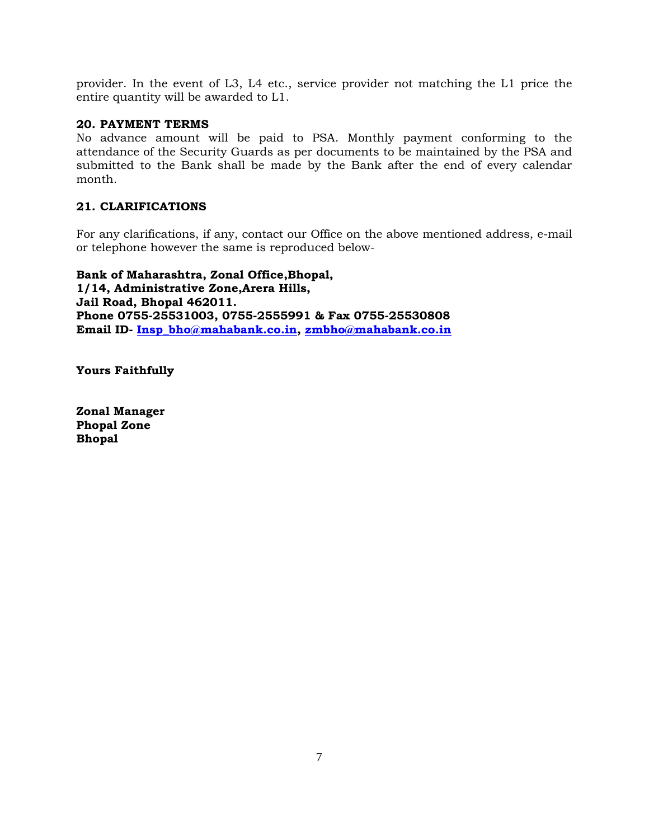provider. In the event of L3, L4 etc., service provider not matching the L1 price the entire quantity will be awarded to L1.

#### **20. PAYMENT TERMS**

No advance amount will be paid to PSA. Monthly payment conforming to the attendance of the Security Guards as per documents to be maintained by the PSA and submitted to the Bank shall be made by the Bank after the end of every calendar month.

#### **21. CLARIFICATIONS**

For any clarifications, if any, contact our Office on the above mentioned address, e-mail or telephone however the same is reproduced below-

**Bank of Maharashtra, Zonal Office,Bhopal, 1/14, Administrative Zone,Arera Hills, Jail Road, Bhopal 462011. Phone 0755-25531003, 0755-2555991 & Fax 0755-25530808 Email ID- Insp\_bho@mahabank.co.in, zmbho@mahabank.co.in**

**Yours Faithfully** 

**Zonal Manager Phopal Zone Bhopal**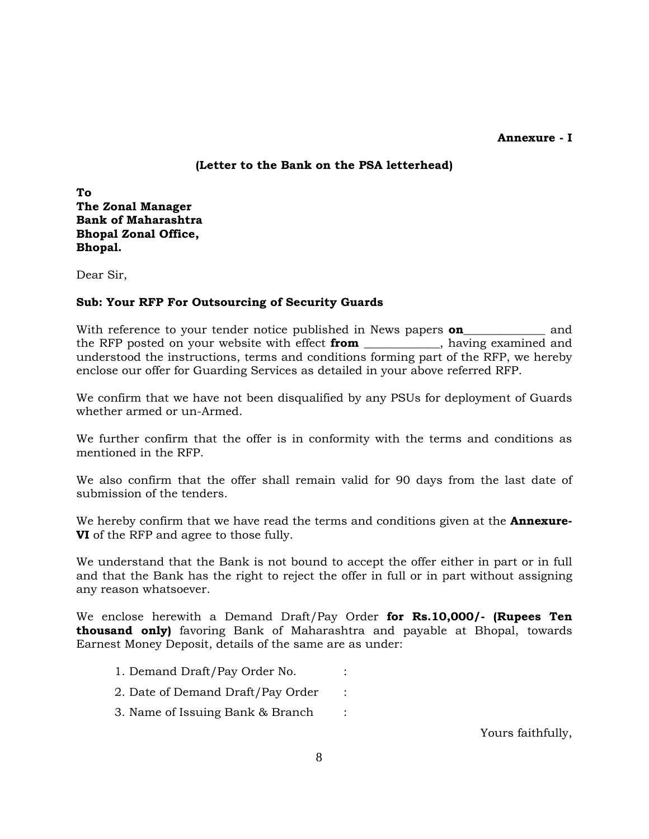#### **Annexure - I**

#### **(Letter to the Bank on the PSA letterhead)**

**To The Zonal Manager Bank of Maharashtra Bhopal Zonal Office, Bhopal.** 

Dear Sir,

#### **Sub: Your RFP For Outsourcing of Security Guards**

With reference to your tender notice published in News papers **on\_\_\_\_\_\_\_\_\_** and the RFP posted on your website with effect **from** \_\_\_\_\_\_\_\_\_\_\_\_\_, having examined and understood the instructions, terms and conditions forming part of the RFP, we hereby enclose our offer for Guarding Services as detailed in your above referred RFP.

We confirm that we have not been disqualified by any PSUs for deployment of Guards whether armed or un-Armed.

We further confirm that the offer is in conformity with the terms and conditions as mentioned in the RFP.

We also confirm that the offer shall remain valid for 90 days from the last date of submission of the tenders.

We hereby confirm that we have read the terms and conditions given at the **Annexure-VI** of the RFP and agree to those fully.

We understand that the Bank is not bound to accept the offer either in part or in full and that the Bank has the right to reject the offer in full or in part without assigning any reason whatsoever.

We enclose herewith a Demand Draft/Pay Order **for Rs.10,000/- (Rupees Ten thousand only)** favoring Bank of Maharashtra and payable at Bhopal, towards Earnest Money Deposit, details of the same are as under:

- 1. Demand Draft/Pay Order No. :
- 2. Date of Demand Draft/Pay Order :
- 3. Name of Issuing Bank & Branch :

Yours faithfully,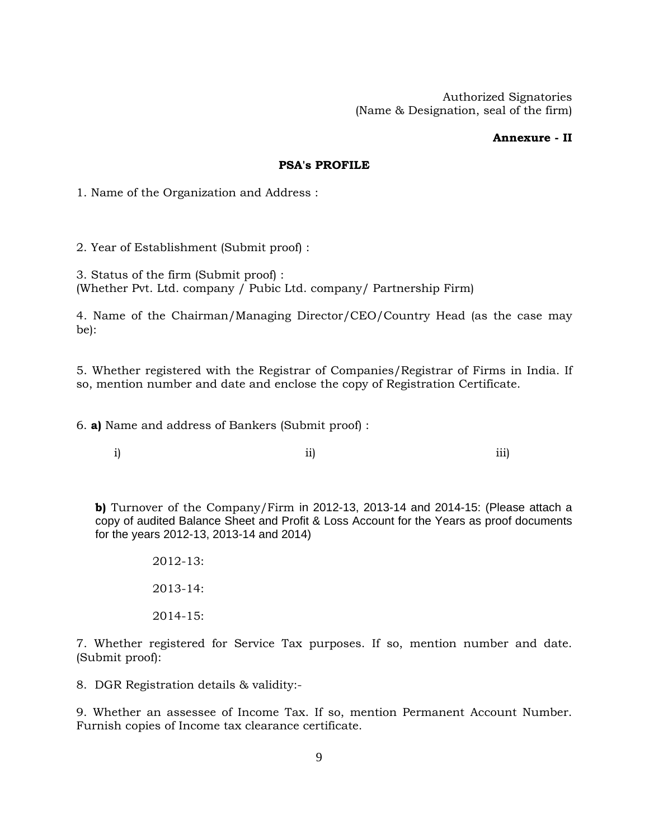Authorized Signatories (Name & Designation, seal of the firm)

#### **Annexure - II**

#### **PSA's PROFILE**

1. Name of the Organization and Address :

2. Year of Establishment (Submit proof) :

3. Status of the firm (Submit proof) : (Whether Pvt. Ltd. company / Pubic Ltd. company/ Partnership Firm)

4. Name of the Chairman/Managing Director/CEO/Country Head (as the case may be):

5. Whether registered with the Registrar of Companies/Registrar of Firms in India. If so, mention number and date and enclose the copy of Registration Certificate.

6. **a)** Name and address of Bankers (Submit proof) :

i) ii) iii)

**b)** Turnover of the Company/Firm in 2012-13, 2013-14 and 2014-15: (Please attach a copy of audited Balance Sheet and Profit & Loss Account for the Years as proof documents for the years 2012-13, 2013-14 and 2014)

> 2012-13: 2013-14: 2014-15:

7. Whether registered for Service Tax purposes. If so, mention number and date. (Submit proof):

8. DGR Registration details & validity:-

9. Whether an assessee of Income Tax. If so, mention Permanent Account Number. Furnish copies of Income tax clearance certificate.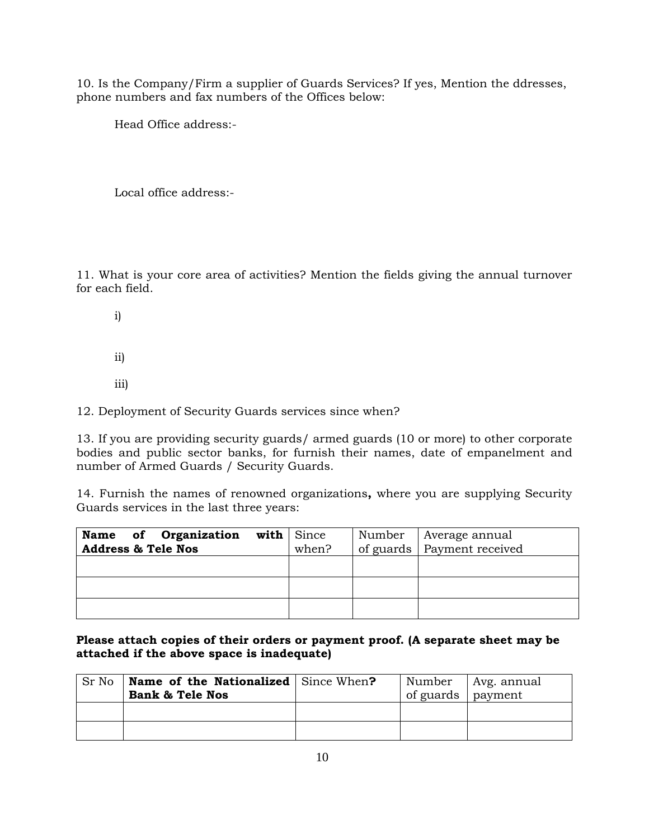10. Is the Company/Firm a supplier of Guards Services? If yes, Mention the ddresses, phone numbers and fax numbers of the Offices below:

Head Office address:-

Local office address:-

11. What is your core area of activities? Mention the fields giving the annual turnover for each field.

- i)
- ii)
- iii)

12. Deployment of Security Guards services since when?

13. If you are providing security guards/ armed guards (10 or more) to other corporate bodies and public sector banks, for furnish their names, date of empanelment and number of Armed Guards / Security Guards.

14. Furnish the names of renowned organizations**,** where you are supplying Security Guards services in the last three years:

| Name of Organization          | with $ $ Since | Number | Average annual               |
|-------------------------------|----------------|--------|------------------------------|
| <b>Address &amp; Tele Nos</b> | when?          |        | of guards   Payment received |
|                               |                |        |                              |
|                               |                |        |                              |
|                               |                |        |                              |
|                               |                |        |                              |
|                               |                |        |                              |

#### **Please attach copies of their orders or payment proof. (A separate sheet may be attached if the above space is inadequate)**

| Sr No | <b>Name of the Nationalized</b> Since When? |                   | Number   Avg. annual |
|-------|---------------------------------------------|-------------------|----------------------|
|       | <b>Bank &amp; Tele Nos</b>                  | of guards payment |                      |
|       |                                             |                   |                      |
|       |                                             |                   |                      |
|       |                                             |                   |                      |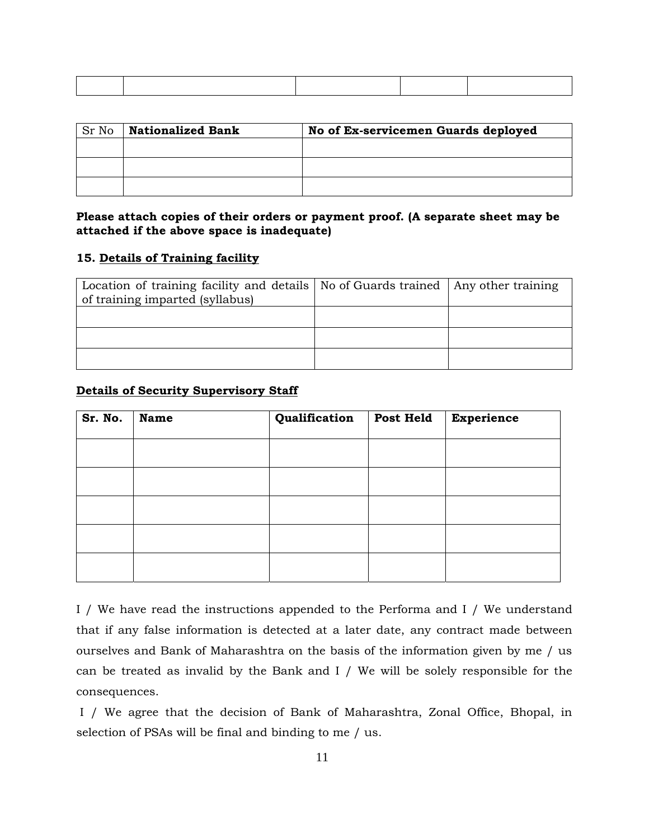| Sr No | <b>Nationalized Bank</b> | No of Ex-servicemen Guards deployed |
|-------|--------------------------|-------------------------------------|
|       |                          |                                     |
|       |                          |                                     |
|       |                          |                                     |

#### **Please attach copies of their orders or payment proof. (A separate sheet may be attached if the above space is inadequate)**

#### **15. Details of Training facility**

| Location of training facility and details   No of Guards trained   Any other training<br>of training imparted (syllabus) |  |
|--------------------------------------------------------------------------------------------------------------------------|--|
|                                                                                                                          |  |
|                                                                                                                          |  |
|                                                                                                                          |  |

#### **Details of Security Supervisory Staff**

| Sr. No. | Name | Qualification | Post Held | <b>Experience</b> |
|---------|------|---------------|-----------|-------------------|
|         |      |               |           |                   |
|         |      |               |           |                   |
|         |      |               |           |                   |
|         |      |               |           |                   |
|         |      |               |           |                   |

I / We have read the instructions appended to the Performa and I / We understand that if any false information is detected at a later date, any contract made between ourselves and Bank of Maharashtra on the basis of the information given by me / us can be treated as invalid by the Bank and I / We will be solely responsible for the consequences.

 I / We agree that the decision of Bank of Maharashtra, Zonal Office, Bhopal, in selection of PSAs will be final and binding to me / us.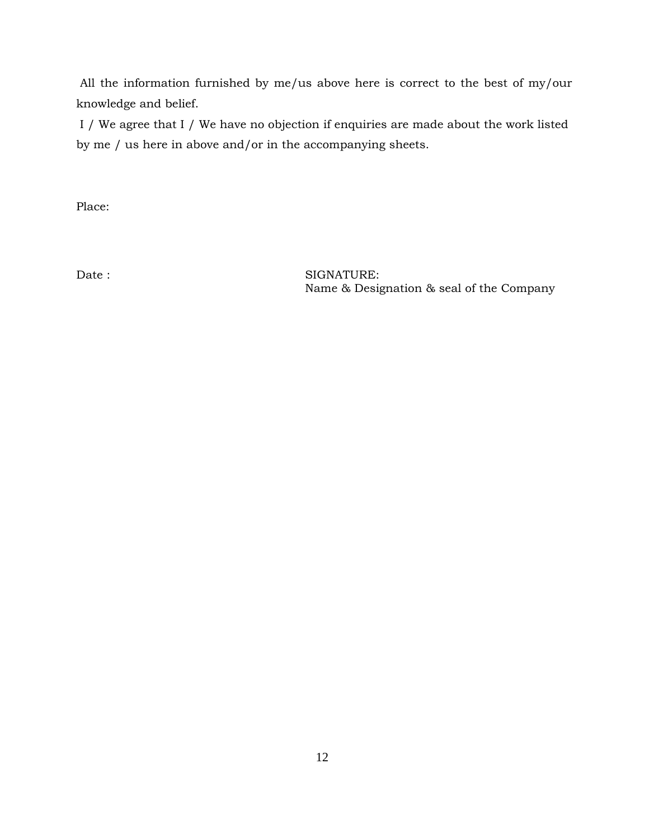All the information furnished by me/us above here is correct to the best of my/our knowledge and belief.

 I / We agree that I / We have no objection if enquiries are made about the work listed by me / us here in above and/or in the accompanying sheets.

Place:

Date : SIGNATURE: Name & Designation & seal of the Company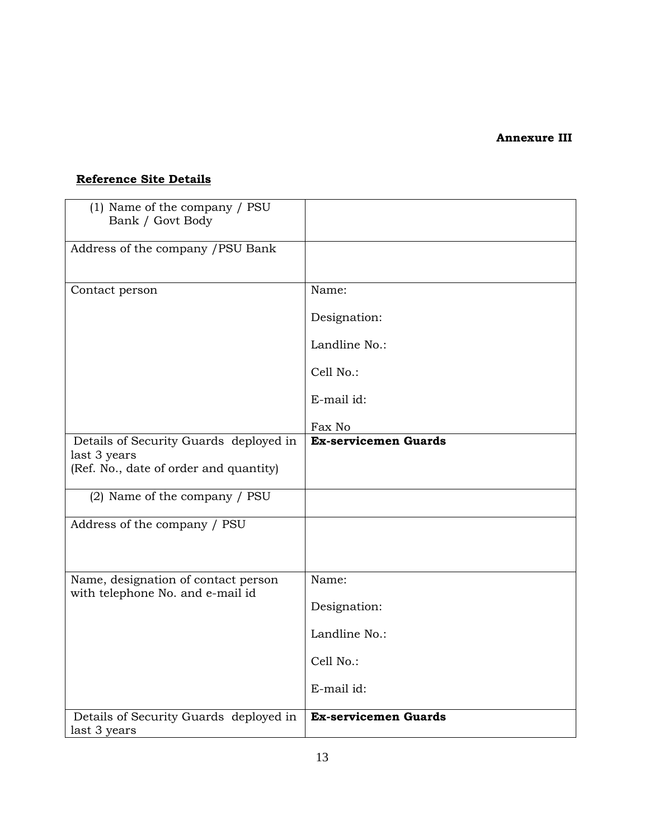#### **Annexure III**

## **Reference Site Details**

| (1) Name of the company / PSU<br>Bank / Govt Body                                                |                             |
|--------------------------------------------------------------------------------------------------|-----------------------------|
| Address of the company / PSU Bank                                                                |                             |
| Contact person                                                                                   | Name:                       |
|                                                                                                  | Designation:                |
|                                                                                                  | Landline No.:               |
|                                                                                                  | Cell No.:                   |
|                                                                                                  | E-mail id:                  |
|                                                                                                  | Fax No                      |
| Details of Security Guards deployed in<br>last 3 years<br>(Ref. No., date of order and quantity) | <b>Ex-servicemen Guards</b> |
| (2) Name of the company / PSU                                                                    |                             |
| Address of the company / PSU                                                                     |                             |
| Name, designation of contact person<br>with telephone No. and e-mail id                          | Name:                       |
|                                                                                                  | Designation:                |
|                                                                                                  | Landline No.:               |
|                                                                                                  | Cell No.:                   |
|                                                                                                  | E-mail id:                  |
| Details of Security Guards deployed in<br>last 3 years                                           | Ex-servicemen Guards        |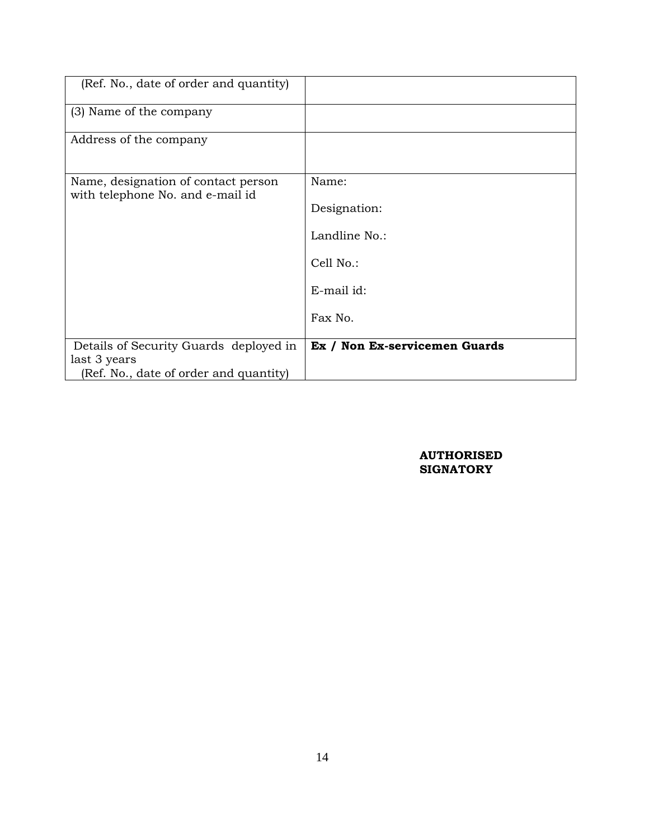| (Ref. No., date of order and quantity)                                  |                               |
|-------------------------------------------------------------------------|-------------------------------|
| (3) Name of the company                                                 |                               |
| Address of the company                                                  |                               |
| Name, designation of contact person<br>with telephone No. and e-mail id | Name:                         |
|                                                                         | Designation:                  |
|                                                                         | Landline No.:                 |
|                                                                         | Cell No.:                     |
|                                                                         | E-mail id:                    |
|                                                                         | Fax No.                       |
| Details of Security Guards deployed in                                  | Ex / Non Ex-servicemen Guards |
| last 3 years                                                            |                               |
| (Ref. No., date of order and quantity)                                  |                               |

#### **AUTHORISED SIGNATORY**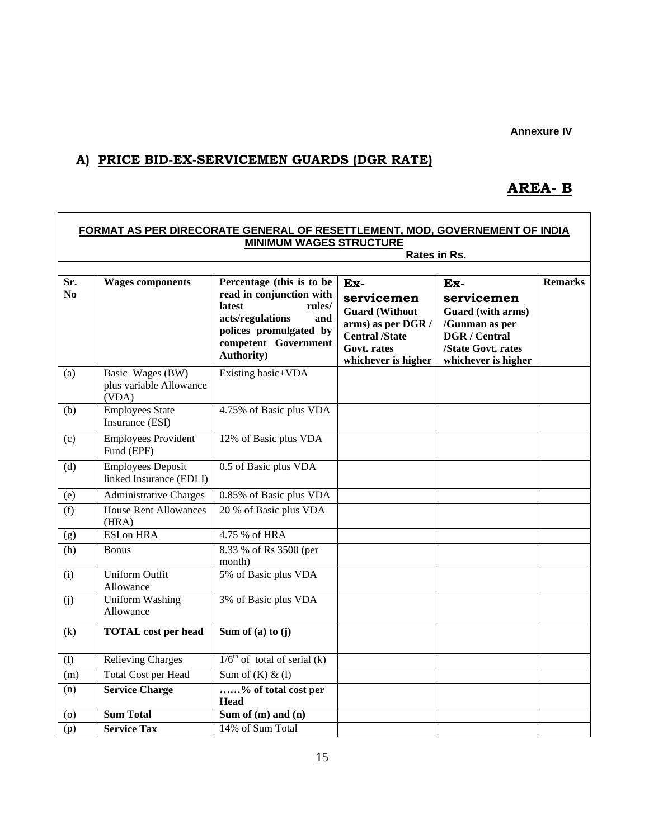**Annexure IV**

## **A) PRICE BID-EX-SERVICEMEN GUARDS (DGR RATE)**

 $\Gamma$ 

## **AREA- B**

٦

|                       |                                                      | FORMAT AS PER DIRECORATE GENERAL OF RESETTLEMENT, MOD, GOVERNEMENT OF INDIA                                                                                                         |                                                                                                                                        |                                                                                                                               |                |
|-----------------------|------------------------------------------------------|-------------------------------------------------------------------------------------------------------------------------------------------------------------------------------------|----------------------------------------------------------------------------------------------------------------------------------------|-------------------------------------------------------------------------------------------------------------------------------|----------------|
|                       |                                                      | <b>MINIMUM WAGES STRUCTURE</b>                                                                                                                                                      | Rates in Rs.                                                                                                                           |                                                                                                                               |                |
|                       |                                                      |                                                                                                                                                                                     |                                                                                                                                        |                                                                                                                               |                |
| Sr.<br>N <sub>0</sub> | <b>Wages components</b>                              | Percentage (this is to be<br>read in conjunction with<br><b>latest</b><br>rules/<br>acts/regulations<br>and<br>polices promulgated by<br>competent Government<br><b>Authority</b> ) | Ex-<br>servicemen<br><b>Guard (Without</b><br>arms) as per DGR /<br><b>Central /State</b><br><b>Govt.</b> rates<br>whichever is higher | Ex-<br>servicemen<br>Guard (with arms)<br>/Gunman as per<br><b>DGR</b> / Central<br>/State Govt. rates<br>whichever is higher | <b>Remarks</b> |
| (a)                   | Basic Wages (BW)<br>plus variable Allowance<br>(VDA) | Existing basic+VDA                                                                                                                                                                  |                                                                                                                                        |                                                                                                                               |                |
| (b)                   | <b>Employees State</b><br>Insurance (ESI)            | 4.75% of Basic plus VDA                                                                                                                                                             |                                                                                                                                        |                                                                                                                               |                |
| (c)                   | <b>Employees Provident</b><br>Fund (EPF)             | 12% of Basic plus VDA                                                                                                                                                               |                                                                                                                                        |                                                                                                                               |                |
| (d)                   | <b>Employees Deposit</b><br>linked Insurance (EDLI)  | 0.5 of Basic plus VDA                                                                                                                                                               |                                                                                                                                        |                                                                                                                               |                |
| (e)                   | <b>Administrative Charges</b>                        | 0.85% of Basic plus VDA                                                                                                                                                             |                                                                                                                                        |                                                                                                                               |                |
| (f)                   | <b>House Rent Allowances</b><br>(HRA)                | 20 % of Basic plus VDA                                                                                                                                                              |                                                                                                                                        |                                                                                                                               |                |
| (g)                   | <b>ESI</b> on HRA                                    | 4.75 % of HRA                                                                                                                                                                       |                                                                                                                                        |                                                                                                                               |                |
| (h)                   | <b>Bonus</b>                                         | 8.33 % of Rs 3500 (per<br>month)                                                                                                                                                    |                                                                                                                                        |                                                                                                                               |                |
| (i)                   | <b>Uniform Outfit</b><br>Allowance                   | 5% of Basic plus VDA                                                                                                                                                                |                                                                                                                                        |                                                                                                                               |                |
| (j)                   | <b>Uniform</b> Washing<br>Allowance                  | 3% of Basic plus VDA                                                                                                                                                                |                                                                                                                                        |                                                                                                                               |                |
| (k)                   | <b>TOTAL</b> cost per head                           | Sum of (a) to $(j)$                                                                                                                                                                 |                                                                                                                                        |                                                                                                                               |                |
| (1)                   | <b>Relieving Charges</b>                             | $1/6th$ of total of serial (k)                                                                                                                                                      |                                                                                                                                        |                                                                                                                               |                |
| (m)                   | Total Cost per Head                                  | Sum of $(K)$ & $(1)$                                                                                                                                                                |                                                                                                                                        |                                                                                                                               |                |
| (n)                   | <b>Service Charge</b>                                | % of total cost per<br>Head                                                                                                                                                         |                                                                                                                                        |                                                                                                                               |                |
| (o)                   | <b>Sum Total</b>                                     | Sum of $(m)$ and $\overline{(n)}$                                                                                                                                                   |                                                                                                                                        |                                                                                                                               |                |
| (p)                   | <b>Service Tax</b>                                   | 14% of Sum Total                                                                                                                                                                    |                                                                                                                                        |                                                                                                                               |                |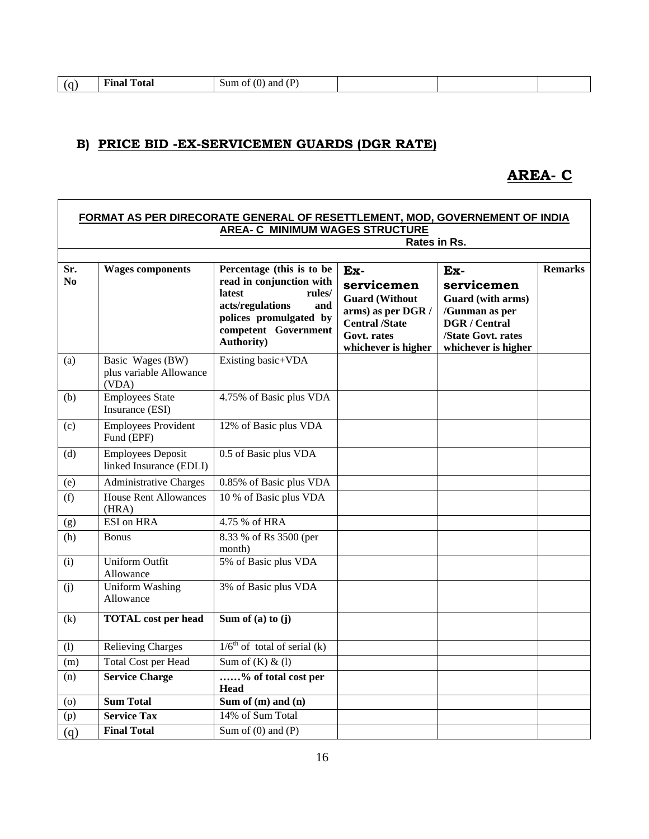| <b>Final Total</b><br>(D)<br>Sum of $(0)$ and $($<br>( G |
|----------------------------------------------------------|
|----------------------------------------------------------|

## **B) PRICE BID -EX-SERVICEMEN GUARDS (DGR RATE)**

## **AREA- C**

|                       |                                                      | FORMAT AS PER DIRECORATE GENERAL OF RESETTLEMENT, MOD, GOVERNEMENT OF INDIA<br><b>AREA- C MINIMUM WAGES STRUCTURE</b>                                                               |                                                                                                                                 |                                                                                                                               |                |
|-----------------------|------------------------------------------------------|-------------------------------------------------------------------------------------------------------------------------------------------------------------------------------------|---------------------------------------------------------------------------------------------------------------------------------|-------------------------------------------------------------------------------------------------------------------------------|----------------|
|                       |                                                      |                                                                                                                                                                                     | Rates in Rs.                                                                                                                    |                                                                                                                               |                |
| Sr.<br>N <sub>0</sub> | <b>Wages components</b>                              | Percentage (this is to be<br>read in conjunction with<br><b>latest</b><br>rules/<br>acts/regulations<br>and<br>polices promulgated by<br>competent Government<br><b>Authority</b> ) | Ex-<br>servicemen<br><b>Guard (Without</b><br>arms) as per DGR /<br><b>Central /State</b><br>Govt. rates<br>whichever is higher | Ex-<br>servicemen<br>Guard (with arms)<br>/Gunman as per<br><b>DGR</b> / Central<br>/State Govt. rates<br>whichever is higher | <b>Remarks</b> |
| (a)                   | Basic Wages (BW)<br>plus variable Allowance<br>(VDA) | Existing basic+VDA                                                                                                                                                                  |                                                                                                                                 |                                                                                                                               |                |
| (b)                   | <b>Employees State</b><br>Insurance (ESI)            | 4.75% of Basic plus VDA                                                                                                                                                             |                                                                                                                                 |                                                                                                                               |                |
| (c)                   | <b>Employees Provident</b><br>Fund (EPF)             | 12% of Basic plus VDA                                                                                                                                                               |                                                                                                                                 |                                                                                                                               |                |
| (d)                   | <b>Employees Deposit</b><br>linked Insurance (EDLI)  | 0.5 of Basic plus VDA                                                                                                                                                               |                                                                                                                                 |                                                                                                                               |                |
| (e)                   | <b>Administrative Charges</b>                        | 0.85% of Basic plus VDA                                                                                                                                                             |                                                                                                                                 |                                                                                                                               |                |
| (f)                   | <b>House Rent Allowances</b><br>(HRA)                | 10 % of Basic plus VDA                                                                                                                                                              |                                                                                                                                 |                                                                                                                               |                |
| (g)                   | <b>ESI</b> on HRA                                    | 4.75 % of HRA                                                                                                                                                                       |                                                                                                                                 |                                                                                                                               |                |
| (h)                   | <b>Bonus</b>                                         | 8.33 % of Rs 3500 (per<br>month)                                                                                                                                                    |                                                                                                                                 |                                                                                                                               |                |
| (i)                   | <b>Uniform Outfit</b><br>Allowance                   | 5% of Basic plus VDA                                                                                                                                                                |                                                                                                                                 |                                                                                                                               |                |
| (i)                   | <b>Uniform Washing</b><br>Allowance                  | 3% of Basic plus VDA                                                                                                                                                                |                                                                                                                                 |                                                                                                                               |                |
| (k)                   | <b>TOTAL</b> cost per head                           | Sum of (a) to $(j)$                                                                                                                                                                 |                                                                                                                                 |                                                                                                                               |                |
| (1)                   | <b>Relieving Charges</b>                             | $1/6th$ of total of serial (k)                                                                                                                                                      |                                                                                                                                 |                                                                                                                               |                |
| (m)                   | Total Cost per Head                                  | Sum of $(K)$ & $(1)$                                                                                                                                                                |                                                                                                                                 |                                                                                                                               |                |
| (n)                   | <b>Service Charge</b>                                | % of total cost per<br><b>Head</b>                                                                                                                                                  |                                                                                                                                 |                                                                                                                               |                |
| $\left( 0 \right)$    | <b>Sum Total</b>                                     | Sum of $(m)$ and $(n)$                                                                                                                                                              |                                                                                                                                 |                                                                                                                               |                |
| (p)                   | <b>Service Tax</b>                                   | 14% of Sum Total                                                                                                                                                                    |                                                                                                                                 |                                                                                                                               |                |
| (q)                   | <b>Final Total</b>                                   | Sum of $(0)$ and $(P)$                                                                                                                                                              |                                                                                                                                 |                                                                                                                               |                |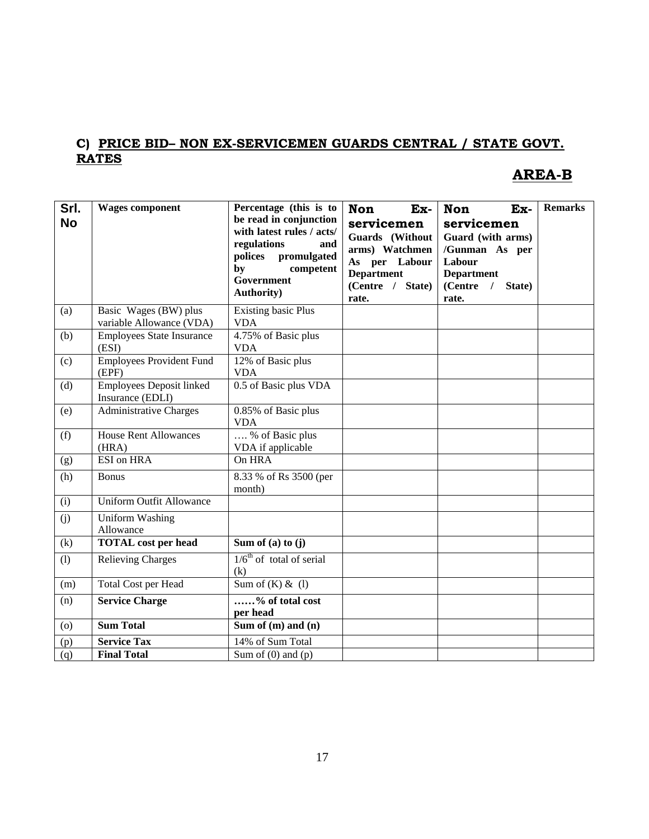## **C) PRICE BID– NON EX-SERVICEMEN GUARDS CENTRAL / STATE GOVT. RATES**

## **AREA-B**

| Srl.<br><b>No</b> | <b>Wages component</b>                              | Percentage (this is to<br>be read in conjunction<br>with latest rules / acts/<br>regulations<br>and<br>polices<br>promulgated<br>by<br>competent<br>Government<br><b>Authority</b> ) | Ex-<br><b>Non</b><br>servicemen<br>Guards (Without<br>arms) Watchmen<br>As per Labour<br><b>Department</b><br>(Centre / State)<br>rate. | Ex-<br><b>Non</b><br>servicemen<br>Guard (with arms)<br>/Gunman As per<br>Labour<br><b>Department</b><br>(Centre /<br>State)<br>rate. | <b>Remarks</b> |
|-------------------|-----------------------------------------------------|--------------------------------------------------------------------------------------------------------------------------------------------------------------------------------------|-----------------------------------------------------------------------------------------------------------------------------------------|---------------------------------------------------------------------------------------------------------------------------------------|----------------|
| (a)               | Basic Wages (BW) plus<br>variable Allowance (VDA)   | <b>Existing basic Plus</b><br><b>VDA</b>                                                                                                                                             |                                                                                                                                         |                                                                                                                                       |                |
| (b)               | <b>Employees State Insurance</b><br>(ESI)           | 4.75% of Basic plus<br><b>VDA</b>                                                                                                                                                    |                                                                                                                                         |                                                                                                                                       |                |
| (c)               | <b>Employees Provident Fund</b><br>(EPF)            | 12% of Basic plus<br><b>VDA</b>                                                                                                                                                      |                                                                                                                                         |                                                                                                                                       |                |
| (d)               | <b>Employees Deposit linked</b><br>Insurance (EDLI) | 0.5 of Basic plus VDA                                                                                                                                                                |                                                                                                                                         |                                                                                                                                       |                |
| (e)               | Administrative Charges                              | 0.85% of Basic plus<br><b>VDA</b>                                                                                                                                                    |                                                                                                                                         |                                                                                                                                       |                |
| (f)               | <b>House Rent Allowances</b><br>(HRA)               | % of Basic plus<br>VDA if applicable                                                                                                                                                 |                                                                                                                                         |                                                                                                                                       |                |
| (g)               | <b>ESI</b> on HRA                                   | On HRA                                                                                                                                                                               |                                                                                                                                         |                                                                                                                                       |                |
| (h)               | <b>Bonus</b>                                        | 8.33 % of Rs 3500 (per<br>month)                                                                                                                                                     |                                                                                                                                         |                                                                                                                                       |                |
| (i)               | <b>Uniform Outfit Allowance</b>                     |                                                                                                                                                                                      |                                                                                                                                         |                                                                                                                                       |                |
| (j)               | <b>Uniform Washing</b><br>Allowance                 |                                                                                                                                                                                      |                                                                                                                                         |                                                                                                                                       |                |
| (k)               | <b>TOTAL</b> cost per head                          | Sum of (a) to $(j)$                                                                                                                                                                  |                                                                                                                                         |                                                                                                                                       |                |
| (1)               | <b>Relieving Charges</b>                            | $1/6th$ of total of serial<br>(k)                                                                                                                                                    |                                                                                                                                         |                                                                                                                                       |                |
| (m)               | Total Cost per Head                                 | $\overline{\text{Sum of (K)} \& (1)}$                                                                                                                                                |                                                                                                                                         |                                                                                                                                       |                |
| (n)               | <b>Service Charge</b>                               | % of total cost<br>per head                                                                                                                                                          |                                                                                                                                         |                                                                                                                                       |                |
| (o)               | <b>Sum Total</b>                                    | Sum of (m) and (n)                                                                                                                                                                   |                                                                                                                                         |                                                                                                                                       |                |
| (p)               | <b>Service Tax</b>                                  | 14% of Sum Total                                                                                                                                                                     |                                                                                                                                         |                                                                                                                                       |                |
| (q)               | <b>Final Total</b>                                  | Sum of $(0)$ and $(p)$                                                                                                                                                               |                                                                                                                                         |                                                                                                                                       |                |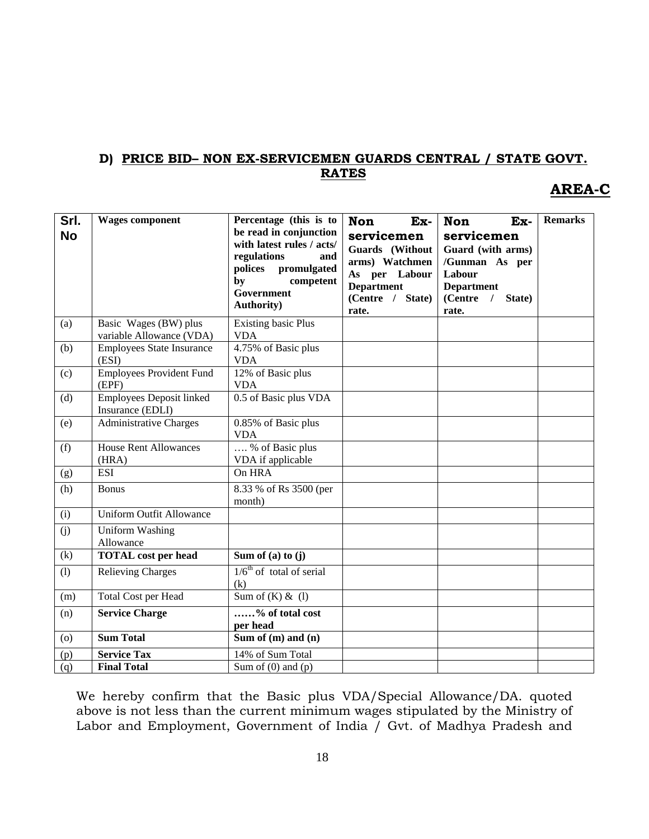## **D) PRICE BID– NON EX-SERVICEMEN GUARDS CENTRAL / STATE GOVT. RATES**

## **AREA-C**

| Srl.<br><b>No</b> | <b>Wages component</b>                              | Percentage (this is to<br>be read in conjunction<br>with latest rules / acts/<br>regulations<br>and<br>polices promulgated<br>by<br>competent<br>Government<br><b>Authority</b> ) | <b>Non</b><br>Ex-<br>servicemen<br>Guards (Without<br>arms) Watchmen<br>As per Labour<br><b>Department</b><br>(Centre / State)<br>rate. | <b>Non</b><br>Ex-<br>servicemen<br>Guard (with arms)<br>/Gunman As per<br>Labour<br><b>Department</b><br>(Centre<br>/ State)<br>rate. | <b>Remarks</b> |
|-------------------|-----------------------------------------------------|-----------------------------------------------------------------------------------------------------------------------------------------------------------------------------------|-----------------------------------------------------------------------------------------------------------------------------------------|---------------------------------------------------------------------------------------------------------------------------------------|----------------|
| (a)               | Basic Wages (BW) plus<br>variable Allowance (VDA)   | <b>Existing basic Plus</b><br><b>VDA</b>                                                                                                                                          |                                                                                                                                         |                                                                                                                                       |                |
| (b)               | <b>Employees State Insurance</b><br>(ESI)           | 4.75% of Basic plus<br><b>VDA</b>                                                                                                                                                 |                                                                                                                                         |                                                                                                                                       |                |
| (c)               | <b>Employees Provident Fund</b><br>(EPF)            | $\overline{12\%}$ of Basic plus<br><b>VDA</b>                                                                                                                                     |                                                                                                                                         |                                                                                                                                       |                |
| (d)               | <b>Employees Deposit linked</b><br>Insurance (EDLI) | 0.5 of Basic plus VDA                                                                                                                                                             |                                                                                                                                         |                                                                                                                                       |                |
| (e)               | <b>Administrative Charges</b>                       | 0.85% of Basic plus<br><b>VDA</b>                                                                                                                                                 |                                                                                                                                         |                                                                                                                                       |                |
| (f)               | House Rent Allowances<br>(HRA)                      | % of Basic plus<br>VDA if applicable                                                                                                                                              |                                                                                                                                         |                                                                                                                                       |                |
| (g)               | <b>ESI</b>                                          | On HRA                                                                                                                                                                            |                                                                                                                                         |                                                                                                                                       |                |
| (h)               | <b>Bonus</b>                                        | 8.33 % of Rs 3500 (per<br>month)                                                                                                                                                  |                                                                                                                                         |                                                                                                                                       |                |
| (i)               | <b>Uniform Outfit Allowance</b>                     |                                                                                                                                                                                   |                                                                                                                                         |                                                                                                                                       |                |
| (j)               | <b>Uniform Washing</b><br>Allowance                 |                                                                                                                                                                                   |                                                                                                                                         |                                                                                                                                       |                |
| (k)               | <b>TOTAL</b> cost per head                          | Sum of (a) to $(j)$                                                                                                                                                               |                                                                                                                                         |                                                                                                                                       |                |
| (1)               | <b>Relieving Charges</b>                            | $1/6th$ of total of serial<br>(k)                                                                                                                                                 |                                                                                                                                         |                                                                                                                                       |                |
| (m)               | Total Cost per Head                                 | Sum of $(K)$ & $(l)$                                                                                                                                                              |                                                                                                                                         |                                                                                                                                       |                |
| (n)               | <b>Service Charge</b>                               | $\overline{\ldots}$ % of total cost<br>per head                                                                                                                                   |                                                                                                                                         |                                                                                                                                       |                |
| (o)               | <b>Sum Total</b>                                    | Sum of $(m)$ and $(n)$                                                                                                                                                            |                                                                                                                                         |                                                                                                                                       |                |
| (p)               | <b>Service Tax</b>                                  | 14% of Sum Total                                                                                                                                                                  |                                                                                                                                         |                                                                                                                                       |                |
| (q)               | <b>Final Total</b>                                  | Sum of $(0)$ and $(p)$                                                                                                                                                            |                                                                                                                                         |                                                                                                                                       |                |

We hereby confirm that the Basic plus VDA/Special Allowance/DA. quoted above is not less than the current minimum wages stipulated by the Ministry of Labor and Employment, Government of India / Gvt. of Madhya Pradesh and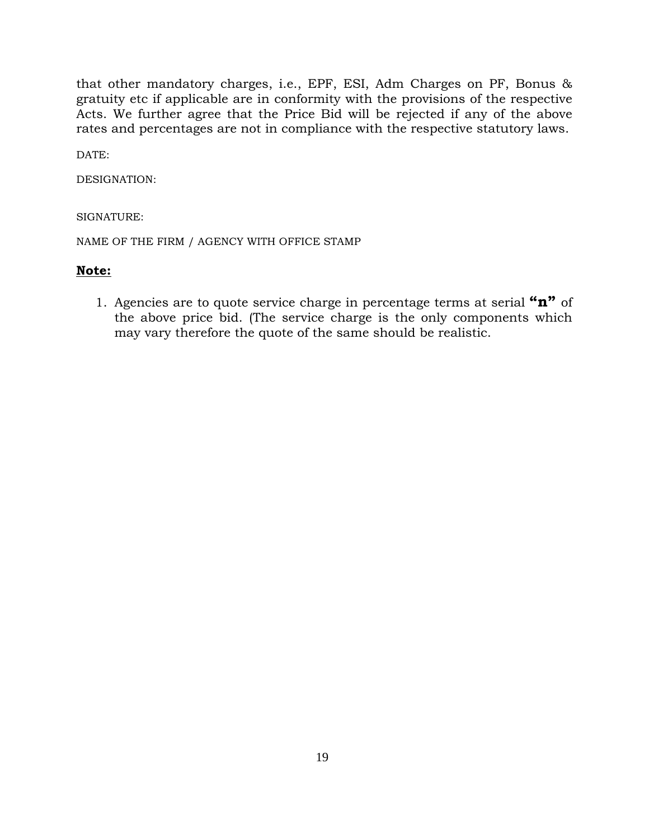that other mandatory charges, i.e., EPF, ESI, Adm Charges on PF, Bonus & gratuity etc if applicable are in conformity with the provisions of the respective Acts. We further agree that the Price Bid will be rejected if any of the above rates and percentages are not in compliance with the respective statutory laws.

 $DATE$ 

DESIGNATION:

SIGNATURE:

NAME OF THE FIRM / AGENCY WITH OFFICE STAMP

### **Note:**

1. Agencies are to quote service charge in percentage terms at serial **"n"** of the above price bid. (The service charge is the only components which may vary therefore the quote of the same should be realistic.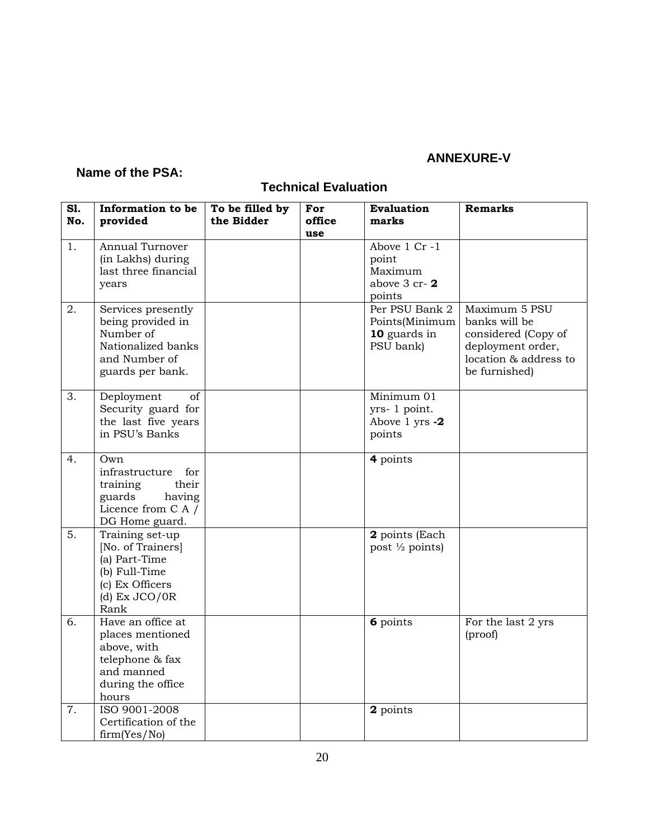## **ANNEXURE-V**

## **Name of the PSA:**

## **Technical Evaluation**

| <b>S1.</b><br>No. | Information to be<br>provided                                                                                        | To be filled by<br>the Bidder | For<br>office | <b>Evaluation</b><br>marks                                    | <b>Remarks</b>                                                                                                       |
|-------------------|----------------------------------------------------------------------------------------------------------------------|-------------------------------|---------------|---------------------------------------------------------------|----------------------------------------------------------------------------------------------------------------------|
| 1.                | Annual Turnover<br>(in Lakhs) during<br>last three financial<br>years                                                |                               | use           | Above 1 Cr-1<br>point<br>Maximum<br>above 3 cr-2<br>points    |                                                                                                                      |
| 2.                | Services presently<br>being provided in<br>Number of<br>Nationalized banks<br>and Number of<br>guards per bank.      |                               |               | Per PSU Bank 2<br>Points(Minimum<br>10 guards in<br>PSU bank) | Maximum 5 PSU<br>banks will be<br>considered (Copy of<br>deployment order,<br>location & address to<br>be furnished) |
| 3.                | Deployment<br>of<br>Security guard for<br>the last five years<br>in PSU's Banks                                      |                               |               | Minimum 01<br>yrs- 1 point.<br>Above 1 yrs -2<br>points       |                                                                                                                      |
| 4.                | Own<br>infrastructure<br>for<br>their<br>training<br>having<br>guards<br>Licence from C A /<br>DG Home guard.        |                               |               | 4 points                                                      |                                                                                                                      |
| 5.                | Training set-up<br>[No. of Trainers]<br>(a) Part-Time<br>(b) Full-Time<br>(c) Ex Officers<br>(d) $Ex$ JCO/0R<br>Rank |                               |               | 2 points (Each<br>post 1/2 points)                            |                                                                                                                      |
| 6.                | Have an office at<br>places mentioned<br>above, with<br>telephone & fax<br>and manned<br>during the office<br>hours  |                               |               | 6 points                                                      | For the last 2 yrs<br>(proof)                                                                                        |
| 7.                | ISO 9001-2008<br>Certification of the<br>firm(Yes/No)                                                                |                               |               | 2 points                                                      |                                                                                                                      |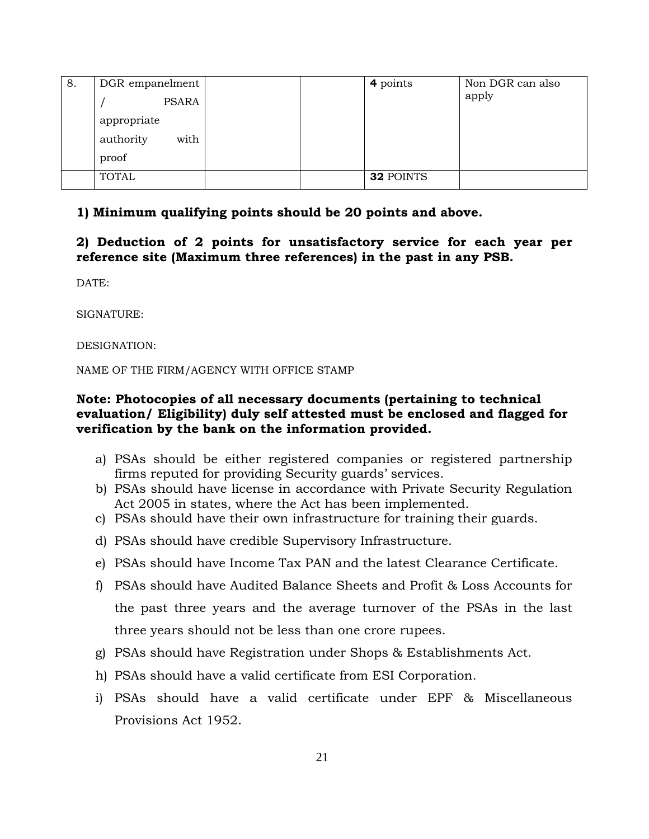| 8. | DGR empanelment   |  | 4 points  | Non DGR can also |
|----|-------------------|--|-----------|------------------|
|    | PSARA             |  |           | apply            |
|    | appropriate       |  |           |                  |
|    | with<br>authority |  |           |                  |
|    | proof             |  |           |                  |
|    | <b>TOTAL</b>      |  | 32 POINTS |                  |

## **1) Minimum qualifying points should be 20 points and above.**

**2) Deduction of 2 points for unsatisfactory service for each year per reference site (Maximum three references) in the past in any PSB.** 

DATE:

SIGNATURE:

DESIGNATION:

NAME OF THE FIRM/AGENCY WITH OFFICE STAMP

### **Note: Photocopies of all necessary documents (pertaining to technical evaluation/ Eligibility) duly self attested must be enclosed and flagged for verification by the bank on the information provided.**

- a) PSAs should be either registered companies or registered partnership firms reputed for providing Security guards' services.
- b) PSAs should have license in accordance with Private Security Regulation Act 2005 in states, where the Act has been implemented.
- c) PSAs should have their own infrastructure for training their guards.
- d) PSAs should have credible Supervisory Infrastructure.
- e) PSAs should have Income Tax PAN and the latest Clearance Certificate.
- f) PSAs should have Audited Balance Sheets and Profit & Loss Accounts for the past three years and the average turnover of the PSAs in the last three years should not be less than one crore rupees.
- g) PSAs should have Registration under Shops & Establishments Act.
- h) PSAs should have a valid certificate from ESI Corporation.
- i) PSAs should have a valid certificate under EPF & Miscellaneous Provisions Act 1952.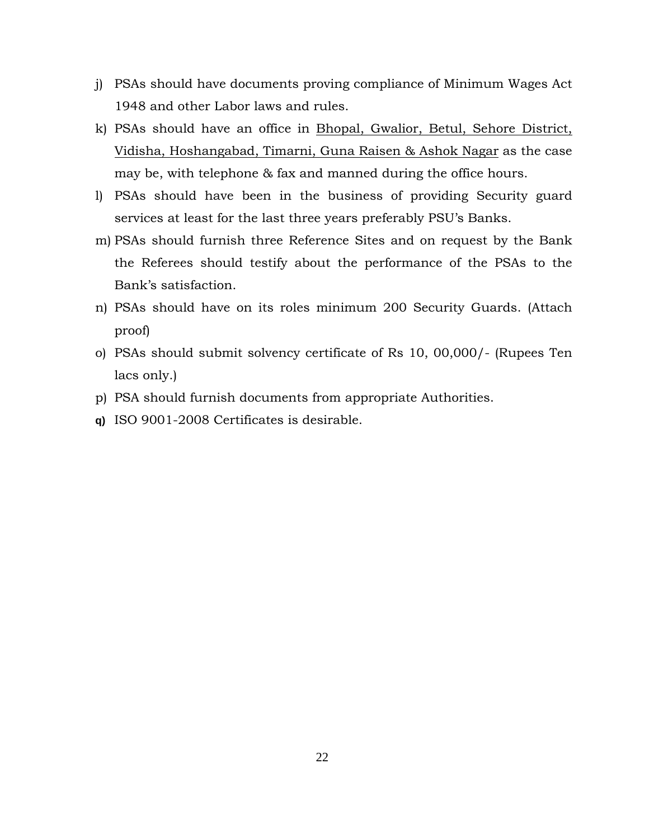- j) PSAs should have documents proving compliance of Minimum Wages Act 1948 and other Labor laws and rules.
- k) PSAs should have an office in Bhopal, Gwalior, Betul, Sehore District, Vidisha, Hoshangabad, Timarni, Guna Raisen & Ashok Nagar as the case may be, with telephone & fax and manned during the office hours.
- l) PSAs should have been in the business of providing Security guard services at least for the last three years preferably PSU's Banks.
- m) PSAs should furnish three Reference Sites and on request by the Bank the Referees should testify about the performance of the PSAs to the Bank's satisfaction.
- n) PSAs should have on its roles minimum 200 Security Guards. (Attach proof)
- o) PSAs should submit solvency certificate of Rs 10, 00,000/- (Rupees Ten lacs only.)
- p) PSA should furnish documents from appropriate Authorities.
- **q)** ISO 9001-2008 Certificates is desirable.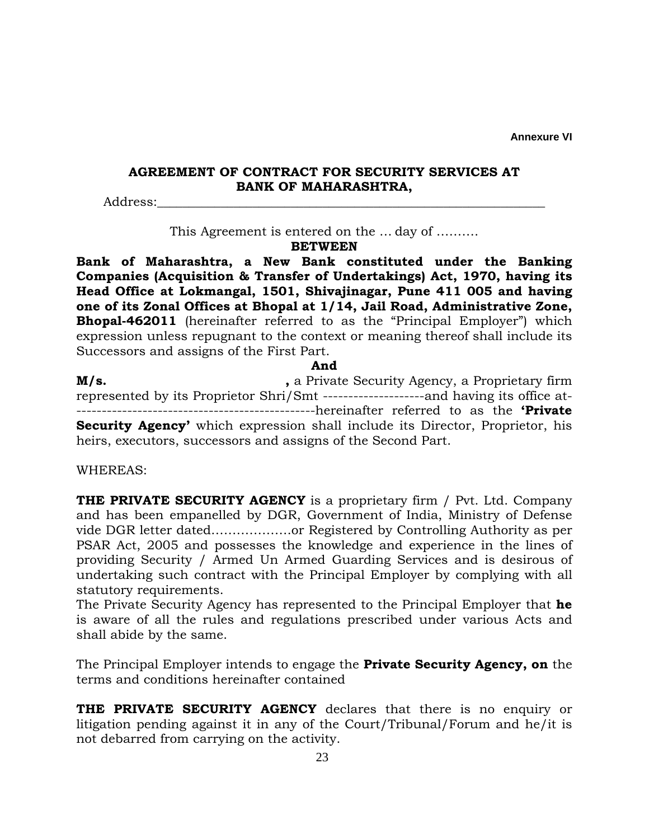**Annexure VI** 

### **AGREEMENT OF CONTRACT FOR SECURITY SERVICES AT BANK OF MAHARASHTRA,**

Address:

This Agreement is entered on the … day of ……….

**BETWEEN** 

**Bank of Maharashtra, a New Bank constituted under the Banking Companies (Acquisition & Transfer of Undertakings) Act, 1970, having its Head Office at Lokmangal, 1501, Shivajinagar, Pune 411 005 and having one of its Zonal Offices at Bhopal at 1/14, Jail Road, Administrative Zone, Bhopal-462011** (hereinafter referred to as the "Principal Employer") which expression unless repugnant to the context or meaning thereof shall include its Successors and assigns of the First Part.

**And** 

**M/s. ,** a Private Security Agency, a Proprietary firm represented by its Proprietor Shri/Smt --------------------and having its office at- -----------------------------------------------hereinafter referred to as the **'Private Security Agency'** which expression shall include its Director, Proprietor, his heirs, executors, successors and assigns of the Second Part.

WHEREAS:

**THE PRIVATE SECURITY AGENCY** is a proprietary firm / Pvt. Ltd. Company and has been empanelled by DGR, Government of India, Ministry of Defense vide DGR letter dated……………….or Registered by Controlling Authority as per PSAR Act, 2005 and possesses the knowledge and experience in the lines of providing Security / Armed Un Armed Guarding Services and is desirous of undertaking such contract with the Principal Employer by complying with all statutory requirements.

The Private Security Agency has represented to the Principal Employer that **he**  is aware of all the rules and regulations prescribed under various Acts and shall abide by the same.

The Principal Employer intends to engage the **Private Security Agency, on** the terms and conditions hereinafter contained

**THE PRIVATE SECURITY AGENCY** declares that there is no enquiry or litigation pending against it in any of the Court/Tribunal/Forum and he/it is not debarred from carrying on the activity.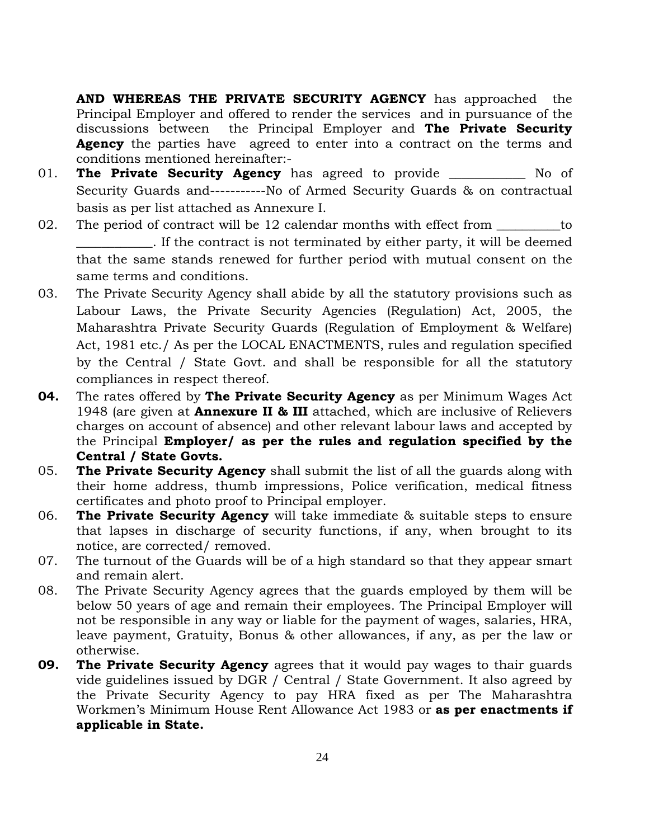**AND WHEREAS THE PRIVATE SECURITY AGENCY** has approached the Principal Employer and offered to render the services and in pursuance of the discussions between the Principal Employer and **The Private Security Agency** the parties have agreed to enter into a contract on the terms and conditions mentioned hereinafter:-

- 01. **The Private Security Agency** has agreed to provide \_\_\_\_\_\_\_\_\_\_\_\_ No of Security Guards and-----------No of Armed Security Guards & on contractual basis as per list attached as Annexure I.
- 02. The period of contract will be 12 calendar months with effect from <u>\_\_\_\_\_\_</u>to \_\_\_\_\_\_\_\_\_\_\_\_. If the contract is not terminated by either party, it will be deemed that the same stands renewed for further period with mutual consent on the same terms and conditions.
- 03. The Private Security Agency shall abide by all the statutory provisions such as Labour Laws, the Private Security Agencies (Regulation) Act, 2005, the Maharashtra Private Security Guards (Regulation of Employment & Welfare) Act, 1981 etc./ As per the LOCAL ENACTMENTS, rules and regulation specified by the Central / State Govt. and shall be responsible for all the statutory compliances in respect thereof.
- **04.** The rates offered by **The Private Security Agency** as per Minimum Wages Act 1948 (are given at **Annexure II & III** attached, which are inclusive of Relievers charges on account of absence) and other relevant labour laws and accepted by the Principal **Employer/ as per the rules and regulation specified by the Central / State Govts.**
- 05. **The Private Security Agency** shall submit the list of all the guards along with their home address, thumb impressions, Police verification, medical fitness certificates and photo proof to Principal employer.
- 06. **The Private Security Agency** will take immediate & suitable steps to ensure that lapses in discharge of security functions, if any, when brought to its notice, are corrected/ removed.
- 07. The turnout of the Guards will be of a high standard so that they appear smart and remain alert.
- 08. The Private Security Agency agrees that the guards employed by them will be below 50 years of age and remain their employees. The Principal Employer will not be responsible in any way or liable for the payment of wages, salaries, HRA, leave payment, Gratuity, Bonus & other allowances, if any, as per the law or otherwise.
- **09. The Private Security Agency** agrees that it would pay wages to thair guards vide guidelines issued by DGR / Central / State Government. It also agreed by the Private Security Agency to pay HRA fixed as per The Maharashtra Workmen's Minimum House Rent Allowance Act 1983 or **as per enactments if applicable in State.**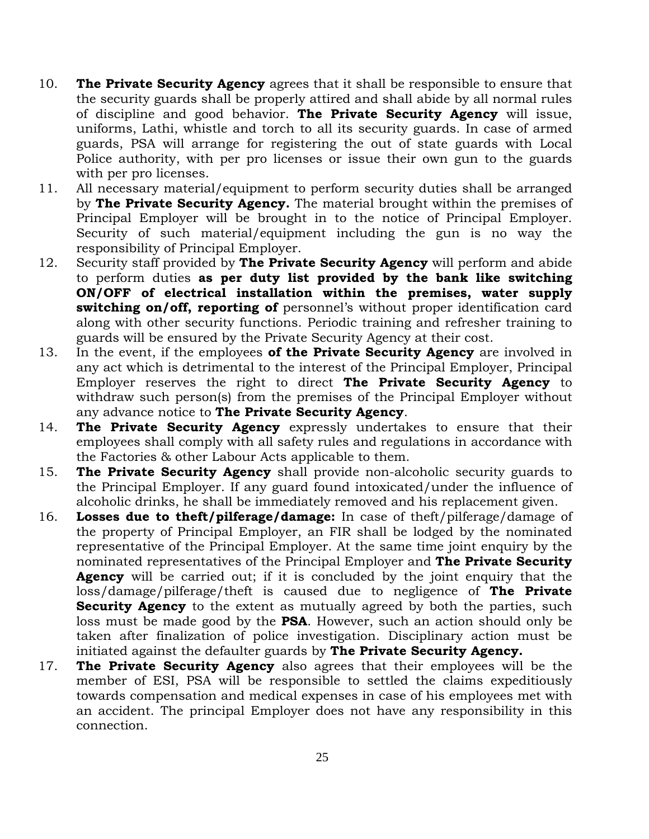- 10. **The Private Security Agency** agrees that it shall be responsible to ensure that the security guards shall be properly attired and shall abide by all normal rules of discipline and good behavior. **The Private Security Agency** will issue, uniforms, Lathi, whistle and torch to all its security guards. In case of armed guards, PSA will arrange for registering the out of state guards with Local Police authority, with per pro licenses or issue their own gun to the guards with per pro licenses.
- 11. All necessary material/equipment to perform security duties shall be arranged by **The Private Security Agency.** The material brought within the premises of Principal Employer will be brought in to the notice of Principal Employer. Security of such material/equipment including the gun is no way the responsibility of Principal Employer.
- 12. Security staff provided by **The Private Security Agency** will perform and abide to perform duties **as per duty list provided by the bank like switching ON/OFF of electrical installation within the premises, water supply switching on/off, reporting of** personnel's without proper identification card along with other security functions. Periodic training and refresher training to guards will be ensured by the Private Security Agency at their cost.
- 13. In the event, if the employees **of the Private Security Agency** are involved in any act which is detrimental to the interest of the Principal Employer, Principal Employer reserves the right to direct **The Private Security Agency** to withdraw such person(s) from the premises of the Principal Employer without any advance notice to **The Private Security Agency**.
- 14. **The Private Security Agency** expressly undertakes to ensure that their employees shall comply with all safety rules and regulations in accordance with the Factories & other Labour Acts applicable to them.
- 15. **The Private Security Agency** shall provide non-alcoholic security guards to the Principal Employer. If any guard found intoxicated/under the influence of alcoholic drinks, he shall be immediately removed and his replacement given.
- 16. **Losses due to theft/pilferage/damage:** In case of theft/pilferage/damage of the property of Principal Employer, an FIR shall be lodged by the nominated representative of the Principal Employer. At the same time joint enquiry by the nominated representatives of the Principal Employer and **The Private Security Agency** will be carried out; if it is concluded by the joint enquiry that the loss/damage/pilferage/theft is caused due to negligence of **The Private Security Agency** to the extent as mutually agreed by both the parties, such loss must be made good by the **PSA**. However, such an action should only be taken after finalization of police investigation. Disciplinary action must be initiated against the defaulter guards by **The Private Security Agency.**
- 17. **The Private Security Agency** also agrees that their employees will be the member of ESI, PSA will be responsible to settled the claims expeditiously towards compensation and medical expenses in case of his employees met with an accident. The principal Employer does not have any responsibility in this connection.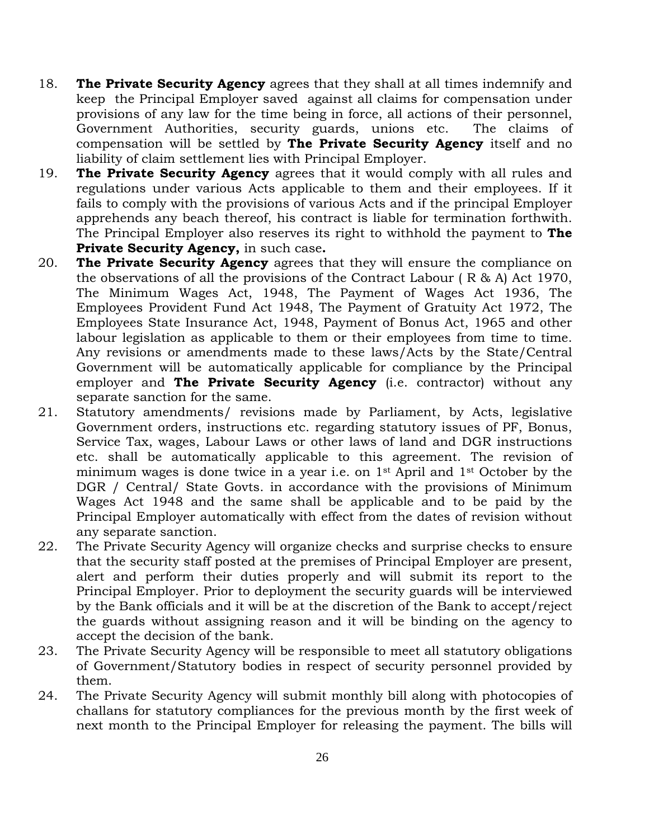- 18. **The Private Security Agency** agrees that they shall at all times indemnify and keep the Principal Employer saved against all claims for compensation under provisions of any law for the time being in force, all actions of their personnel, Government Authorities, security guards, unions etc. The claims of compensation will be settled by **The Private Security Agency** itself and no liability of claim settlement lies with Principal Employer.
- 19. **The Private Security Agency** agrees that it would comply with all rules and regulations under various Acts applicable to them and their employees. If it fails to comply with the provisions of various Acts and if the principal Employer apprehends any beach thereof, his contract is liable for termination forthwith. The Principal Employer also reserves its right to withhold the payment to **The Private Security Agency,** in such case**.**
- 20. **The Private Security Agency** agrees that they will ensure the compliance on the observations of all the provisions of the Contract Labour ( R & A) Act 1970, The Minimum Wages Act, 1948, The Payment of Wages Act 1936, The Employees Provident Fund Act 1948, The Payment of Gratuity Act 1972, The Employees State Insurance Act, 1948, Payment of Bonus Act, 1965 and other labour legislation as applicable to them or their employees from time to time. Any revisions or amendments made to these laws/Acts by the State/Central Government will be automatically applicable for compliance by the Principal employer and **The Private Security Agency** (i.e. contractor) without any separate sanction for the same.
- 21. Statutory amendments/ revisions made by Parliament, by Acts, legislative Government orders, instructions etc. regarding statutory issues of PF, Bonus, Service Tax, wages, Labour Laws or other laws of land and DGR instructions etc. shall be automatically applicable to this agreement. The revision of minimum wages is done twice in a year i.e. on 1st April and 1st October by the DGR / Central/ State Govts. in accordance with the provisions of Minimum Wages Act 1948 and the same shall be applicable and to be paid by the Principal Employer automatically with effect from the dates of revision without any separate sanction.
- 22. The Private Security Agency will organize checks and surprise checks to ensure that the security staff posted at the premises of Principal Employer are present, alert and perform their duties properly and will submit its report to the Principal Employer. Prior to deployment the security guards will be interviewed by the Bank officials and it will be at the discretion of the Bank to accept/reject the guards without assigning reason and it will be binding on the agency to accept the decision of the bank.
- 23. The Private Security Agency will be responsible to meet all statutory obligations of Government/Statutory bodies in respect of security personnel provided by them.
- 24. The Private Security Agency will submit monthly bill along with photocopies of challans for statutory compliances for the previous month by the first week of next month to the Principal Employer for releasing the payment. The bills will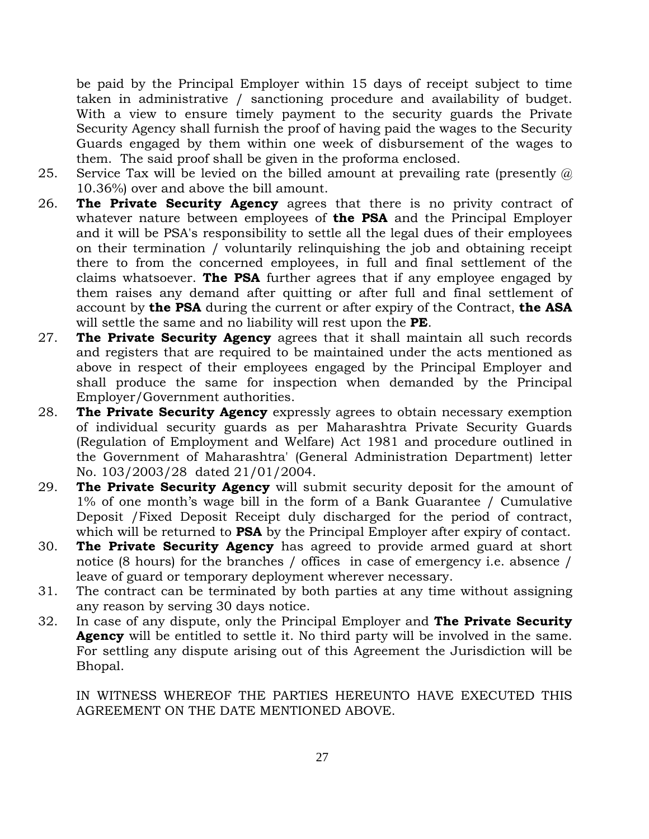be paid by the Principal Employer within 15 days of receipt subject to time taken in administrative / sanctioning procedure and availability of budget. With a view to ensure timely payment to the security guards the Private Security Agency shall furnish the proof of having paid the wages to the Security Guards engaged by them within one week of disbursement of the wages to them. The said proof shall be given in the proforma enclosed.

- 25. Service Tax will be levied on the billed amount at prevailing rate (presently  $\omega$ ) 10.36%) over and above the bill amount.
- 26. **The Private Security Agency** agrees that there is no privity contract of whatever nature between employees of **the PSA** and the Principal Employer and it will be PSA's responsibility to settle all the legal dues of their employees on their termination / voluntarily relinquishing the job and obtaining receipt there to from the concerned employees, in full and final settlement of the claims whatsoever. **The PSA** further agrees that if any employee engaged by them raises any demand after quitting or after full and final settlement of account by **the PSA** during the current or after expiry of the Contract, **the ASA**  will settle the same and no liability will rest upon the **PE**.
- 27. **The Private Security Agency** agrees that it shall maintain all such records and registers that are required to be maintained under the acts mentioned as above in respect of their employees engaged by the Principal Employer and shall produce the same for inspection when demanded by the Principal Employer/Government authorities.
- 28. **The Private Security Agency** expressly agrees to obtain necessary exemption of individual security guards as per Maharashtra Private Security Guards (Regulation of Employment and Welfare) Act 1981 and procedure outlined in the Government of Maharashtra' (General Administration Department) letter No. 103/2003/28 dated 21/01/2004.
- 29. **The Private Security Agency** will submit security deposit for the amount of 1% of one month's wage bill in the form of a Bank Guarantee / Cumulative Deposit /Fixed Deposit Receipt duly discharged for the period of contract, which will be returned to **PSA** by the Principal Employer after expiry of contact.
- 30. **The Private Security Agency** has agreed to provide armed guard at short notice (8 hours) for the branches / offices in case of emergency i.e. absence / leave of guard or temporary deployment wherever necessary.
- 31. The contract can be terminated by both parties at any time without assigning any reason by serving 30 days notice.
- 32. In case of any dispute, only the Principal Employer and **The Private Security Agency** will be entitled to settle it. No third party will be involved in the same. For settling any dispute arising out of this Agreement the Jurisdiction will be Bhopal.

IN WITNESS WHEREOF THE PARTIES HEREUNTO HAVE EXECUTED THIS AGREEMENT ON THE DATE MENTIONED ABOVE.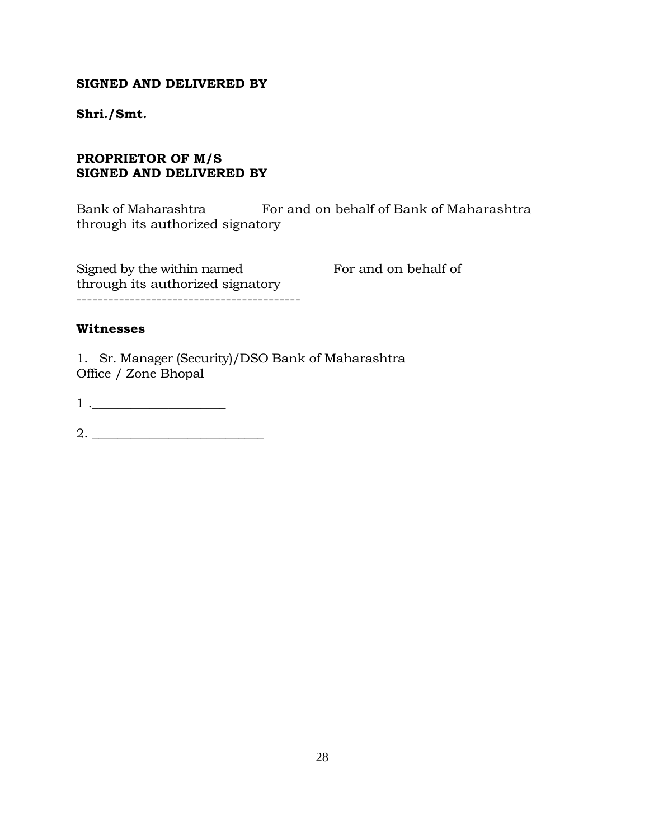#### **SIGNED AND DELIVERED BY**

**Shri./Smt.** 

## **PROPRIETOR OF M/S SIGNED AND DELIVERED BY**

Bank of Maharashtra For and on behalf of Bank of Maharashtra through its authorized signatory

Signed by the within named For and on behalf of through its authorized signatory ------------------------------------------

#### **Witnesses**

1. Sr. Manager (Security)/DSO Bank of Maharashtra Office / Zone Bhopal

 $1 \nvert \nvert$ 

2. \_\_\_\_\_\_\_\_\_\_\_\_\_\_\_\_\_\_\_\_\_\_\_\_\_\_\_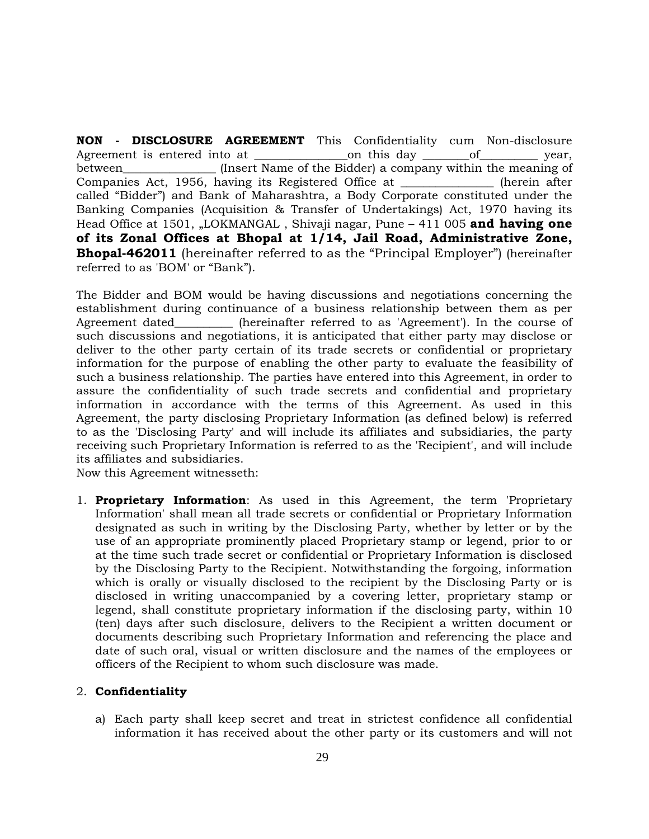**NON - DISCLOSURE AGREEMENT** This Confidentiality cum Non-disclosure Agreement is entered into at  $\Box$  on this day of vear, between\_\_\_\_\_\_\_\_\_\_\_\_\_\_\_\_ (Insert Name of the Bidder) a company within the meaning of Companies Act, 1956, having its Registered Office at \_\_\_\_\_\_\_\_\_\_\_\_\_\_\_\_ (herein after called "Bidder") and Bank of Maharashtra, a Body Corporate constituted under the Banking Companies (Acquisition & Transfer of Undertakings) Act, 1970 having its Head Office at 1501, "LOKMANGAL, Shivaji nagar, Pune - 411 005 and having one **of its Zonal Offices at Bhopal at 1/14, Jail Road, Administrative Zone, Bhopal-462011** (hereinafter referred to as the "Principal Employer") (hereinafter referred to as 'BOM' or "Bank").

The Bidder and BOM would be having discussions and negotiations concerning the establishment during continuance of a business relationship between them as per Agreement dated\_\_\_\_\_\_\_\_\_\_ (hereinafter referred to as 'Agreement'). In the course of such discussions and negotiations, it is anticipated that either party may disclose or deliver to the other party certain of its trade secrets or confidential or proprietary information for the purpose of enabling the other party to evaluate the feasibility of such a business relationship. The parties have entered into this Agreement, in order to assure the confidentiality of such trade secrets and confidential and proprietary information in accordance with the terms of this Agreement. As used in this Agreement, the party disclosing Proprietary Information (as defined below) is referred to as the 'Disclosing Party' and will include its affiliates and subsidiaries, the party receiving such Proprietary Information is referred to as the 'Recipient', and will include its affiliates and subsidiaries.

Now this Agreement witnesseth:

1. **Proprietary Information**: As used in this Agreement, the term 'Proprietary Information' shall mean all trade secrets or confidential or Proprietary Information designated as such in writing by the Disclosing Party, whether by letter or by the use of an appropriate prominently placed Proprietary stamp or legend, prior to or at the time such trade secret or confidential or Proprietary Information is disclosed by the Disclosing Party to the Recipient. Notwithstanding the forgoing, information which is orally or visually disclosed to the recipient by the Disclosing Party or is disclosed in writing unaccompanied by a covering letter, proprietary stamp or legend, shall constitute proprietary information if the disclosing party, within 10 (ten) days after such disclosure, delivers to the Recipient a written document or documents describing such Proprietary Information and referencing the place and date of such oral, visual or written disclosure and the names of the employees or officers of the Recipient to whom such disclosure was made.

#### 2. **Confidentiality**

a) Each party shall keep secret and treat in strictest confidence all confidential information it has received about the other party or its customers and will not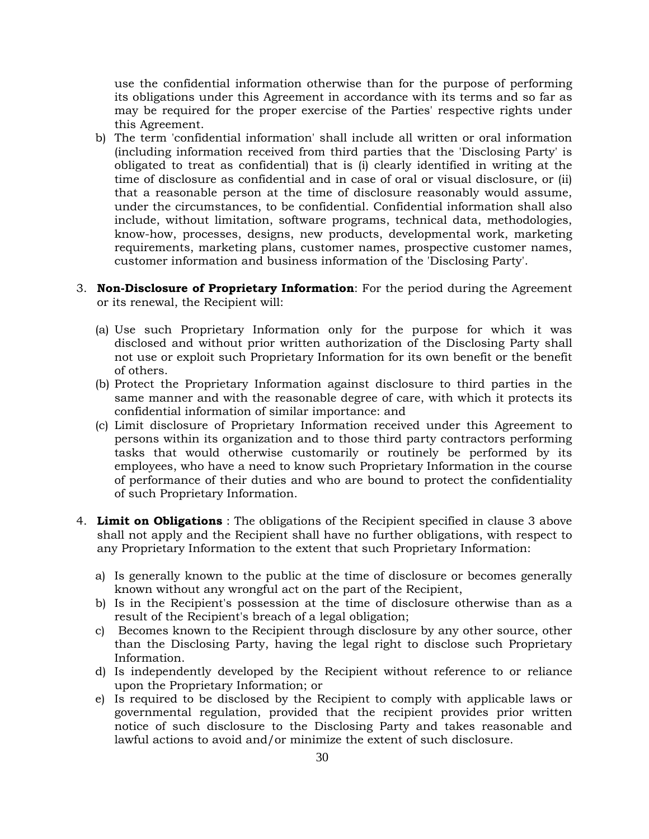use the confidential information otherwise than for the purpose of performing its obligations under this Agreement in accordance with its terms and so far as may be required for the proper exercise of the Parties' respective rights under this Agreement.

- b) The term 'confidential information' shall include all written or oral information (including information received from third parties that the 'Disclosing Party' is obligated to treat as confidential) that is (i) clearly identified in writing at the time of disclosure as confidential and in case of oral or visual disclosure, or (ii) that a reasonable person at the time of disclosure reasonably would assume, under the circumstances, to be confidential. Confidential information shall also include, without limitation, software programs, technical data, methodologies, know-how, processes, designs, new products, developmental work, marketing requirements, marketing plans, customer names, prospective customer names, customer information and business information of the 'Disclosing Party'.
- 3. **Non-Disclosure of Proprietary Information**: For the period during the Agreement or its renewal, the Recipient will:
	- (a) Use such Proprietary Information only for the purpose for which it was disclosed and without prior written authorization of the Disclosing Party shall not use or exploit such Proprietary Information for its own benefit or the benefit of others.
	- (b) Protect the Proprietary Information against disclosure to third parties in the same manner and with the reasonable degree of care, with which it protects its confidential information of similar importance: and
	- (c) Limit disclosure of Proprietary Information received under this Agreement to persons within its organization and to those third party contractors performing tasks that would otherwise customarily or routinely be performed by its employees, who have a need to know such Proprietary Information in the course of performance of their duties and who are bound to protect the confidentiality of such Proprietary Information.
- 4. **Limit on Obligations** : The obligations of the Recipient specified in clause 3 above shall not apply and the Recipient shall have no further obligations, with respect to any Proprietary Information to the extent that such Proprietary Information:
	- a) Is generally known to the public at the time of disclosure or becomes generally known without any wrongful act on the part of the Recipient,
	- b) Is in the Recipient's possession at the time of disclosure otherwise than as a result of the Recipient's breach of a legal obligation;
	- c) Becomes known to the Recipient through disclosure by any other source, other than the Disclosing Party, having the legal right to disclose such Proprietary Information.
	- d) Is independently developed by the Recipient without reference to or reliance upon the Proprietary Information; or
	- e) Is required to be disclosed by the Recipient to comply with applicable laws or governmental regulation, provided that the recipient provides prior written notice of such disclosure to the Disclosing Party and takes reasonable and lawful actions to avoid and/or minimize the extent of such disclosure.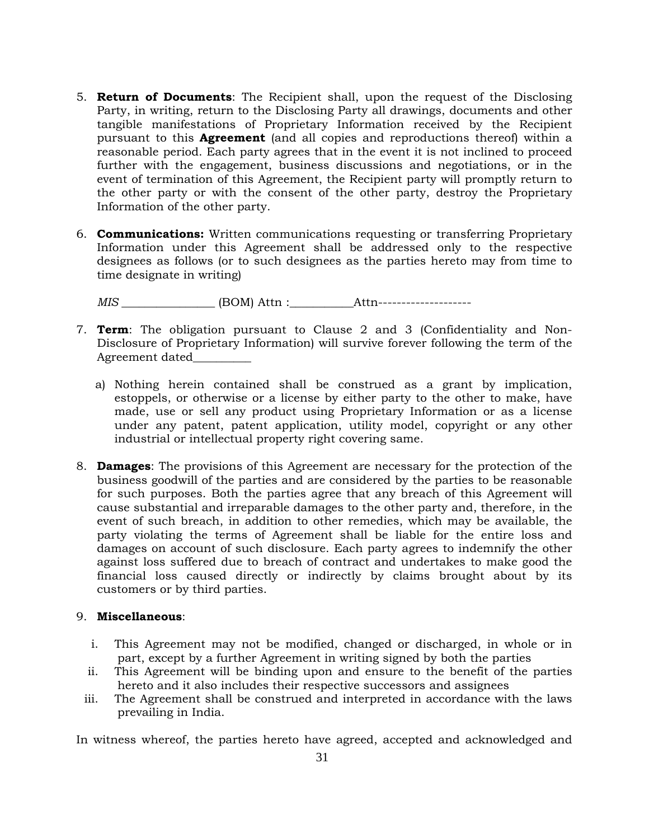- 5. **Return of Documents**: The Recipient shall, upon the request of the Disclosing Party, in writing, return to the Disclosing Party all drawings, documents and other tangible manifestations of Proprietary Information received by the Recipient pursuant to this **Agreement** (and all copies and reproductions thereof) within a reasonable period. Each party agrees that in the event it is not inclined to proceed further with the engagement, business discussions and negotiations, or in the event of termination of this Agreement, the Recipient party will promptly return to the other party or with the consent of the other party, destroy the Proprietary Information of the other party.
- 6. **Communications:** Written communications requesting or transferring Proprietary Information under this Agreement shall be addressed only to the respective designees as follows (or to such designees as the parties hereto may from time to time designate in writing)

*MIS \_\_\_\_\_\_\_\_\_\_\_\_\_\_\_\_* (BOM) Attn :\_\_\_\_\_\_\_\_\_\_\_Attn--------------------

- 7. **Term**: The obligation pursuant to Clause 2 and 3 (Confidentiality and Non-Disclosure of Proprietary Information) will survive forever following the term of the Agreement dated\_\_\_\_\_\_\_\_\_\_
	- a) Nothing herein contained shall be construed as a grant by implication, estoppels, or otherwise or a license by either party to the other to make, have made, use or sell any product using Proprietary Information or as a license under any patent, patent application, utility model, copyright or any other industrial or intellectual property right covering same.
- 8. **Damages**: The provisions of this Agreement are necessary for the protection of the business goodwill of the parties and are considered by the parties to be reasonable for such purposes. Both the parties agree that any breach of this Agreement will cause substantial and irreparable damages to the other party and, therefore, in the event of such breach, in addition to other remedies, which may be available, the party violating the terms of Agreement shall be liable for the entire loss and damages on account of such disclosure. Each party agrees to indemnify the other against loss suffered due to breach of contract and undertakes to make good the financial loss caused directly or indirectly by claims brought about by its customers or by third parties.

#### 9. **Miscellaneous**:

- i. This Agreement may not be modified, changed or discharged, in whole or in part, except by a further Agreement in writing signed by both the parties
- ii. This Agreement will be binding upon and ensure to the benefit of the parties hereto and it also includes their respective successors and assignees
- iii. The Agreement shall be construed and interpreted in accordance with the laws prevailing in India.

In witness whereof, the parties hereto have agreed, accepted and acknowledged and